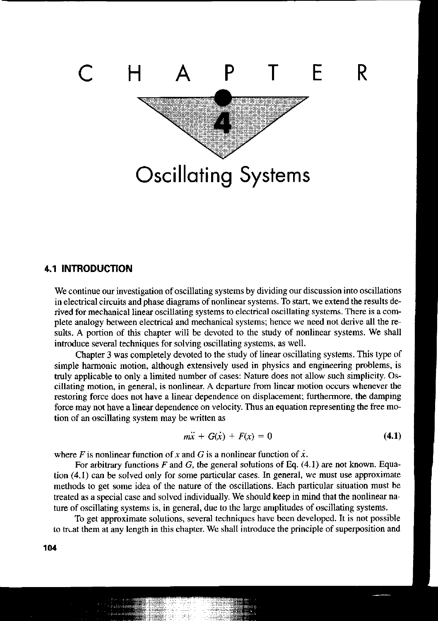

# **4.1 INTRODUCTION**

We continue our investigation of oscillating systems by dividing our discussion into oscillations in electrical circuits and phase diagrams of nonlinear systems. To start, we extend the results derived for mechanical linear oscillating systems to electrical oscillating systems. There is a complete analogy between electrical and mechanical systems; hence we need not derive all the results. A portion of this chapter will be devoted to the study of nonlinear systems. We shall introduce several techniques for solving oscillating systems, as well.

Chapter 3 was completely devoted to the study of linear oscillating systems. This type of simple harmonic motion, although extensively used in physics and engineering problems, is truly applicable to only a limited number of cases: Nature does not allow such simplicity. Oscillating motion, in general, is nonlinear. A departure from linear motion occurs whenever the restoring force does not have a linear dependence on displacement; furthermore, the damping force may not have a linear dependence on velocity. Thus an equation representing the free motion of an oscillating system may be written as

$$
m\ddot{x} + G(\dot{x}) + F(x) = 0 \tag{4.1}
$$

where *F* is nonlinear function of *x* and *G* is a nonlinear function of *x.*

For arbitrary functions *F* and *G,* the general solutions of Eq. (4.1) are not known. Equation (4.1) can be solved only for some particular cases. In general, we must use approximate methods to get some idea of the nature of the oscillations. Each particular situation must be treated as a special case and solved individually. We should keep in mind that the nonlinear nature of oscillating systems is, in general, due to the large amplitudes of oscillating systems.

To get approximate solutions, several techniques have been developed. It is not possible to true them at any length in this chapter. We shall introduce the principle of superposition and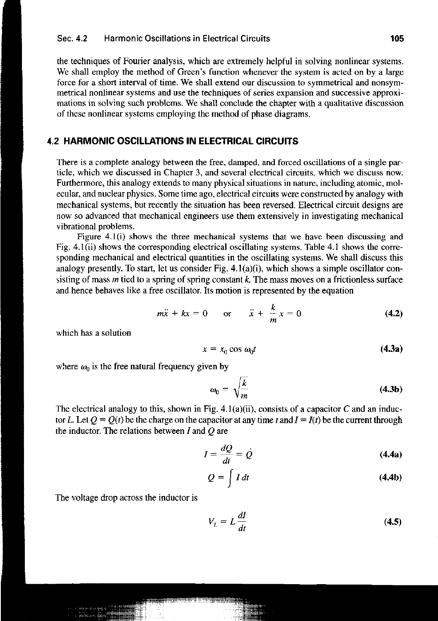the techniques of Fourier analysis, which are extremely helpful in solving nonlinear systems. We shall employ the method of Green's function whenever the system is acted on by a large force for a short interval of time. We shall extend our discussion to symmetrical and nonsymmetrical nonlinear systems and use the techniques of series expansion and successive approximations in solving such problems. We shall conclude the chapter with a qualitative discussion of these nonlinear systems employing the method of phase diagrams.

#### **4.2 HARMONIC OSCILLATIONS IN ELECTRICAL CIRCUITS**

There is a complete analogy between the free, damped, and forced oscillations of a single particle, which we discussed in Chapter 3, and several electrical circuits, which we discuss now. Furthermore, this analogy extends to many physical situations in nature, including atomic, molecular, and nuclear physics. Some time ago, electrical circuits were constructed by analogy with mechanical systems, but recently the situation has been reversed. Electrical circuit designs are now so advanced that mechanical engineers use them extensively in investigating mechanical vibrational problems.

Figure 4.1(i) shows the three mechanical systems that we have been discussing and Fig. 4.1(ii) shows the corresponding electrical oscillating systems. Table 4.1 shows the corresponding mechanical and electrical quantities in the oscillating systems. We shall discuss this analogy presently. To start, let us consider Fig.  $4.1(a)(i)$ , which shows a simple oscillator consisting of mass *m* tied to a spring of spring constant *k.* The mass moves on a frictionless surface and hence behaves like a free oscillator. Its motion is represented by the equation

$$
m\ddot{x} + kx = 0 \qquad \text{or} \qquad \ddot{x} + \frac{k}{m}x = 0 \tag{4.2}
$$

which has a solution

$$
x = x_0 \cos \omega_0 t \tag{4.3a}
$$

where  $\omega_0$  is the free natural frequency given by

$$
\omega_0 = \sqrt{\frac{k}{m}} \tag{4.3b}
$$

The electrical analogy to this, shown in Fig.  $4.1(a)(ii)$ , consists of a capacitor C and an inductor *L*. Let  $Q = Q(t)$  be the charge on the capacitor at any time *t* and  $I = I(t)$  be the current through the inductor. The relations between / and *Q* are

$$
I = \frac{dQ}{dt} = \dot{Q} \tag{4.4a}
$$

$$
Q = \int I \, dt \tag{4.4b}
$$

The voltage drop across the inductor is

$$
V_L = L \frac{dI}{dt} \tag{4.5}
$$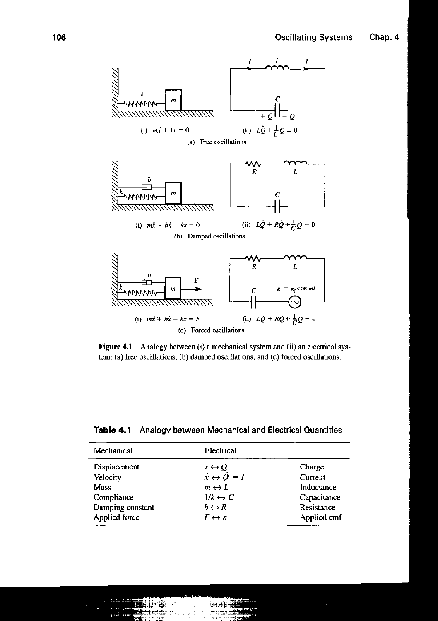

**Figure 4.1** Analogy between (i) a mechanical system and (ii) an electrical system: (a) free oscillations, (b) damped oscillations, and (c) forced oscillations.

**Table 4.1** Analogy between Mechanical and Electrical Quantities

| Mechanical       | Electrical                                                     |             |  |
|------------------|----------------------------------------------------------------|-------------|--|
| Displacement     |                                                                | Charge      |  |
| Velocity         | $x \leftrightarrow Q$<br>$\dot{x} \leftrightarrow \dot{Q} = I$ | Current     |  |
| <b>Mass</b>      | $m \leftrightarrow L$                                          | Inductance  |  |
| Compliance       | $1/k \leftrightarrow C$                                        | Capacitance |  |
| Damping constant | $b \leftrightarrow R$                                          | Resistance  |  |
| Applied force    | $F \leftrightarrow c$                                          | Applied emf |  |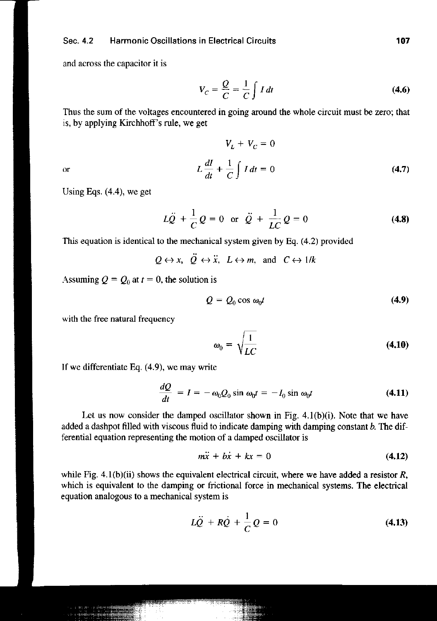#### Sec. 4.2 Harmonic Oscillations in Electrical Circuits

and across the capacitor it is

$$
V_C = \frac{Q}{C} = \frac{1}{C} \int I \, dt \tag{4.6}
$$

Thus the sum of the voltages encountered in going around the whole circuit must be zero; that is, by applying Kirchhoff's rule, we get

 $L\frac{dI}{dt} + \frac{1}{C}\int I dt = 0$ 

 $V_L + V_C = 0$ 

or

Using Eqs. (4.4), we get

$$
L\ddot{Q} + \frac{1}{C}Q = 0
$$
 or  $\ddot{Q} + \frac{1}{LC}Q = 0$  (4.8)

This equation is identical to the mechanical system given by Eq. (4.2) provided

$$
Q \leftrightarrow x
$$
,  $Q \leftrightarrow \ddot{x}$ ,  $L \leftrightarrow m$ , and  $C \leftrightarrow 1/k$ 

Assuming  $Q = Q_0$  at  $t = 0$ , the solution is

$$
Q = Q_0 \cos \omega_0 t \tag{4.9}
$$

with the free natural frequency

$$
\omega_0 = \sqrt{\frac{1}{LC}} \tag{4.10}
$$

If we differentiate Eq. (4.9), we may write

$$
\frac{dQ}{dt} = I = -\omega_0 Q_0 \sin \omega_0 t = -I_0 \sin \omega_0 t \tag{4.11}
$$

Let us now consider the damped oscillator shown in Fig. 4.1(b)(i). Note that we have added a dashpot filled with viscous fluid to indicate damping with damping constant *b.* The differential equation representing the motion of a damped oscillator is

$$
m\ddot{x} + b\dot{x} + kx = 0 \tag{4.12}
$$

while Fig. 4.1(b)(ii) shows the equivalent electrical circuit, where we have added a resistor R, which is equivalent to the damping or frictional force in mechanical systems. The electrical equation analogous to a mechanical system is

$$
L\ddot{Q} + R\dot{Q} + \frac{1}{C}Q = 0 \tag{4.13}
$$

**(4.7)**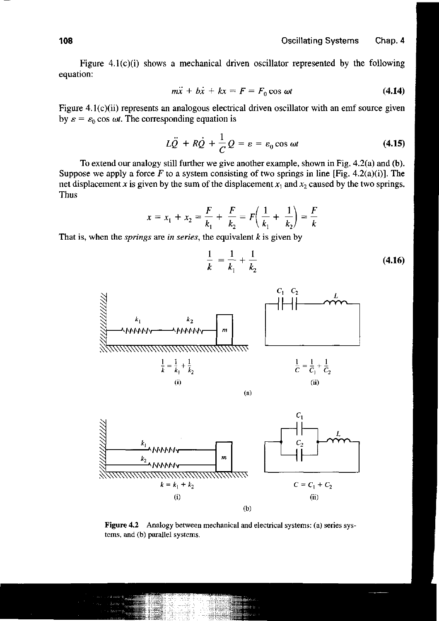Figure 4.1(c)(i) shows a mechanical driven oscillator represented by the following equation:

$$
m\ddot{x} + bx + kx = F = F_0 \cos \omega t \tag{4.14}
$$

Figure  $4.1(c)(ii)$  represents an analogous electrical driven oscillator with an emf source given by  $\varepsilon = \varepsilon_0 \cos \omega t$ . The corresponding equation is

$$
L\ddot{Q} + R\dot{Q} + \frac{1}{C}Q = \varepsilon = \varepsilon_0 \cos \omega t
$$
 (4.15)

To extend our analogy still further we give another example, shown in Fig. 4.2(a) and (b). Suppose we apply a force F to a system consisting of two springs in line [Fig.  $4.2(a)(i)$ ]. The net displacement *x* is given by the sum of the displacement *x<sup>l</sup>* and *x2* caused by the two springs. Thus

$$
x = x_1 + x_2 = \frac{F}{k_1} + \frac{F}{k_2} = F\left(\frac{1}{k_1} + \frac{1}{k_2}\right) = \frac{F}{k}
$$

That is, when the *springs* are *in series,* the equivalent *k* is given by

$$
\frac{1}{k} = \frac{1}{k_1} + \frac{1}{k_2} \tag{4.16}
$$





**Figure 4.2** Analogy between mechanical and electrical systems: (a) series systems, and (b) parallel systems.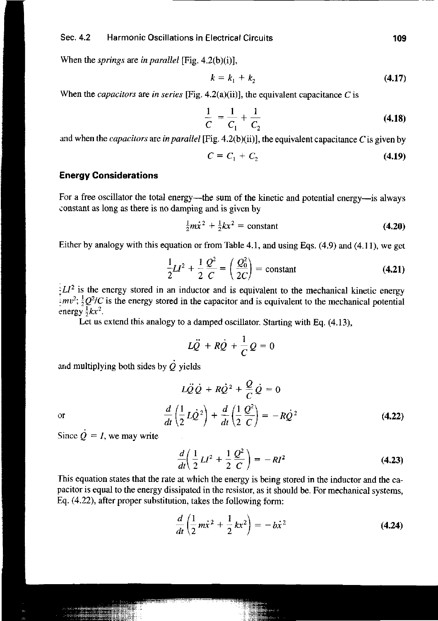When the *springs* are *in parallel* [Fig. 4.2(b)(i)],

$$
k = k_1 + k_2 \tag{4.17}
$$

When the *capacitors* are *in series* [Fig. 4.2(a)(ii)], the equivalent capacitance C is

$$
\frac{1}{C} = \frac{1}{C_1} + \frac{1}{C_2} \tag{4.18}
$$

and when the *capacitors* are *in parallel* [Fig. 4.2(b)(ii)], the equivalent capacitance *C* is given by

$$
C = C_1 + C_2 \tag{4.19}
$$

#### **Energy Considerations**

For a free oscillator the total energy—the sum of the kinetic and potential energy—is always constant as long as there is no damping and is given by

$$
\frac{1}{2}m\dot{x}^2 + \frac{1}{2}kx^2 = \text{constant} \tag{4.20}
$$

Either by analogy with this equation or from Table 4.1, and using Eqs. (4.9) and (4.11), we get

$$
\frac{1}{2}LI^{2} + \frac{1}{2}\frac{Q^{2}}{C} = \left(\frac{Q_{0}^{2}}{2C}\right) = \text{constant}
$$
 (4.21)

 $\frac{1}{2}LI^2$  is the energy stored in an inductor and is equivalent to the mechanical kinetic energy  $\frac{1}{2}mv^2$ ;  $\frac{1}{2}Q^2/C$  is the energy stored in the capacitor and is equivalent to the mechanical potential energy  $\frac{1}{2}kx^2$ .

Let us extend this analogy to a damped oscillator. Starting with Eq. (4.13),

$$
L\ddot{Q} + R\dot{Q} + \frac{1}{C}Q = 0
$$

and multiplying both sides by *Q* yields

Since  $\dot{Q} = I$ , we may write

$$
L\ddot{Q}\dot{Q} + R\dot{Q}^2 + \frac{Q}{C}\dot{Q} = 0
$$
  

$$
\frac{d}{dt}\left(\frac{1}{2}L\dot{Q}^2\right) + \frac{d}{dt}\left(\frac{1}{2}\frac{Q^2}{C}\right) = -R\dot{Q}^2
$$
(4.22)

or

$$
\frac{d}{dt}\left(\frac{1}{2}LI^2 + \frac{1}{2}\frac{Q^2}{C}\right) = -RI^2
$$
\n(4.23)

This equation states that the rate at which the energy is being stored in the inductor and the capacitor is equal to the energy dissipated in the resistor, as it should be. For mechanical systems, Eq. (4.22), after proper substitution, takes the following form:

$$
\frac{d}{dt}\left(\frac{1}{2}m\dot{x}^2 + \frac{1}{2}kx^2\right) = -b\dot{x}^2
$$
\n(4.24)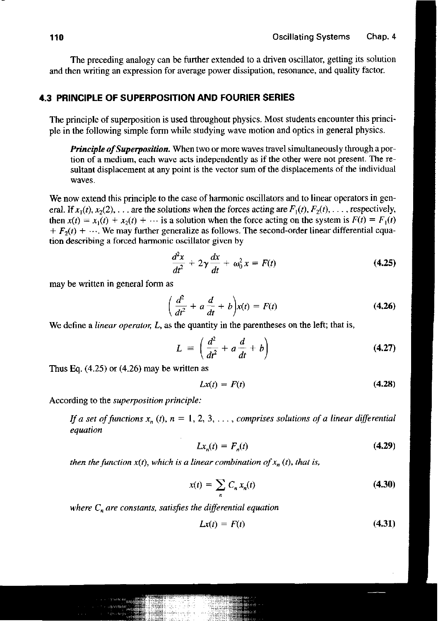The preceding analogy can be further extended to a driven oscillator, getting its solution and then writing an expression for average power dissipation, resonance, and quality factor.

#### **4.3 PRINCIPLE OF SUPERPOSITION AND FOURIER SERIES**

The principle of superposition is used throughout physics. Most students encounter this principle in the following simple form while studying wave motion and optics in general physics.

*Principle of Superposition.* When two or more waves travel simultaneously through a portion of a medium, each wave acts independently as if the other were not present. The resultant displacement at any point is the vector sum of the displacements of the individual waves.

We now extend this principle to the case of harmonic oscillators and to linear operators in general. If  $x_1(t), x_2(2), \ldots$  are the solutions when the forces acting are  $F_1(t), F_2(t), \ldots$ , respectively, then  $x(t) = x_1(t) + x_2(t) + \cdots$  is a solution when the force acting on the system is  $F(t) = F_1(t)$  $f_{2}(t) + \cdots$ . We may further generalize as follows. The second-order linear differential equation describing a forced harmonic oscillator given by

$$
\frac{d^2x}{dt^2} + 2\gamma \frac{dx}{dt} + \omega_0^2 x = F(t) \tag{4.25}
$$

may be written in general form as

$$
\left(\frac{d^2}{dt^2} + a\frac{d}{dt} + b\right)x(t) = F(t) \tag{4.26}
$$

We define a *linear operator, L,* as the quantity in the parentheses on the left; that is,

$$
L = \left(\frac{d^2}{dt^2} + a\frac{d}{dt} + b\right) \tag{4.27}
$$

Thus Eq.  $(4.25)$  or  $(4.26)$  may be written as

$$
Lx(t) = F(t) \tag{4.28}
$$

According to the *superposition principle:*

*If a set of functions x<sub>n</sub>* (*t*),  $n = 1, 2, 3, \ldots$ , *comprises solutions of a linear differential equation*

$$
Lx_n(t) = F_n(t) \tag{4.29}
$$

*then the function*  $x(t)$ *, which is a linear combination of*  $x<sub>n</sub>$  (*t*), that *is*,

$$
x(t) = \sum_{n} C_n x_n(t) \tag{4.30}
$$

*where Cn are constants, satisfies the differential equation*

$$
Lx(t) = F(t) \tag{4.31}
$$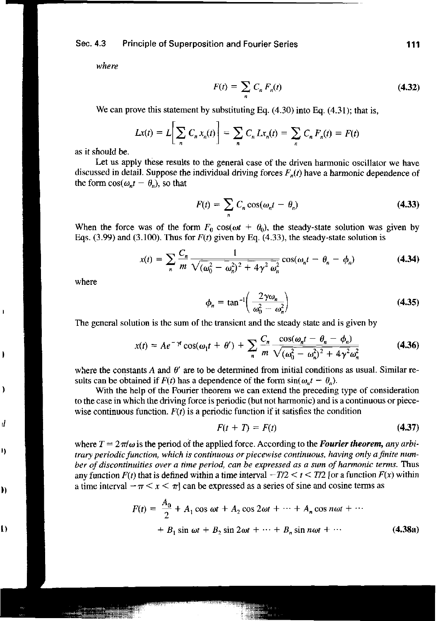#### Sec. 4.3 Principle of Superposition and Fourier Series 111

where

$$
F(t) = \sum_{n} C_n F_n(t) \tag{4.32}
$$

We can prove this statement by substituting Eq.  $(4.30)$  into Eq.  $(4.31)$ ; that is,

$$
Lx(t) = L\bigg[\sum_n C_n x_n(t)\bigg] = \sum_n C_n Lx_n(t) = \sum_n C_n F_n(t) = F(t)
$$

as it should be.<br>Let us apply these results to the general case of the driven harmonic oscillator we have Let us apply these results to the general case of the general case of the driven harmonic denomines of  $\epsilon$ discussed in  $\omega$  discussed in detail. Suppose the individual driving forces  $F_n(t)$  have a harmonic dependence of the form  $\cos(\omega_n t - \theta_n)$ , so that

$$
F(t) = \sum_{n} C_n \cos(\omega_n t - \theta_n)
$$
 (4.33)

When the force was of the form  $F_0 \cos(\omega t + \theta_0)$ , the steady-state solution was given by Eqs.  $(3.99)$  and  $(3.100)$ . Thus for  $F(t)$  given by Eq.  $(4.33)$ , the steady-state solution is

$$
x(t) = \sum_{n} \frac{C_n}{m} \frac{1}{\sqrt{(\omega_0^2 - \omega_n^2)^2 + 4\gamma^2 \omega_n^2}} \cos(\omega_n t - \theta_n - \phi_n)
$$
 (4.34)

where

 $\overline{1}$ 

۱

 $\lambda$ 

ıl

I)

))

I)

$$
\phi_n = \tan^{-1}\left(\frac{2\gamma\omega_n}{\omega_0^2 - \omega_n^2}\right) \tag{4.35}
$$

The general solution is the sum of the transient and the steady state and is given by

$$
x(t) = Ae^{-\gamma t} \cos(\omega_1 t + \theta') + \sum_n \frac{C_n}{m} \frac{\cos(\omega_n t - \theta_n - \phi_n)}{\sqrt{(\omega_0^2 - \omega_n^2)^2 + 4\gamma^2 \omega_n^2}}
$$
(4.36)

where the constants *A* and *6'* are to be determined from initial conditions as usual. Similar results can be obtained if  $F(t)$  has a dependence of the form  $sin(\omega_n t - \theta_n)$ .

With the help of the Fourier theorem we can extend the preceding type of consideration to the case in which the driving force is periodic (but not harmonic) and is a continuous or piecewise continuous function. *F(t)* is a periodic function if it satisfies the condition

$$
F(t+T) = F(t) \tag{4.37}
$$

where  $T = 2\pi/\omega$  is the period of the applied force. According to the **Fourier theorem,** any arbi*trary periodic function, which is continuous or piecewise continuous, having only a finite number of discontinuities over a time period, can be expressed as a sum of harmonic terms.* Thus any function  $F(t)$  that is defined within a time interval  $-T/2 < t < T/2$  [or a function  $F(x)$  within a time interval  $-\pi < x < \pi$ ] can be expressed as a series of sine and cosine terms as

$$
F(t) = \frac{A_0}{2} + A_1 \cos \omega t + A_2 \cos 2\omega t + \dots + A_n \cos n\omega t + \dots
$$
  
+ 
$$
B_1 \sin \omega t + B_2 \sin 2\omega t + \dots + B_n \sin n\omega t + \dots
$$
 (4.38a)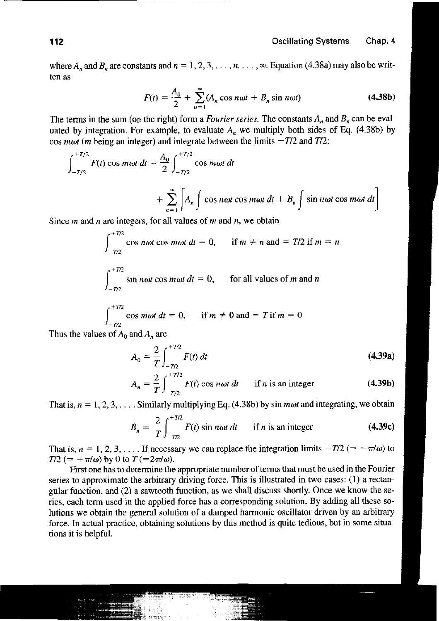where  $A_n$  and  $B_n$  are constants and  $n = 1, 2, 3, \ldots, n, \ldots, \infty$ . Equation (4.38a) may also be written as

$$
F(t) = \frac{A_0}{2} + \sum_{n=1}^{\infty} (A_n \cos n\omega t + B_n \sin n\omega t)
$$
 (4.38b)

The terms in the sum (on the right) form a *Fourier series.* The constants *An* and *Bn* can be evaluated by integration. For example, to evaluate  $A<sub>n</sub>$  we multiply both sides of Eq. (4.38b) by cos *mwt (m* being an integer) and integrate between the limits — 772 and 772:

$$
\int_{-T/2}^{+T/2} F(t) \cos m\omega t \, dt = \frac{A_0}{2} \int_{-T/2}^{+T/2} \cos m\omega t \, dt
$$
  
+ 
$$
\sum_{n=1}^{\infty} \left[ A_n \int \cos n\omega t \cos m\omega t \, dt + B_n \int \sin n\omega t \cos m\omega t \, dt \right]
$$

Since  $m$  and  $n$  are integers, for all values of  $m$  and  $n$ , we obtain

$$
\int_{-T/2}^{+T/2} \cos n\omega t \cos m\omega t \, dt = 0, \quad \text{if } m \neq n \text{ and } = T/2 \text{ if } m = n
$$
  

$$
\int_{-T/2}^{+T/2} \sin n\omega t \cos m\omega t \, dt = 0, \quad \text{for all values of } m \text{ and } n
$$
  

$$
\int_{-T/2}^{+T/2} \cos m\omega t \, dt = 0, \quad \text{if } m \neq 0 \text{ and } = T \text{ if } m = 0
$$

Thus the values of  $A_0$  and  $A_n$  are

$$
A_0 = \frac{2}{T} \int_{-T/2}^{+T/2} F(t) dt
$$
 (4.39a)  

$$
A_n = \frac{2}{T} \int_{-T/2}^{+T/2} F(t) \cos n\omega t dt
$$
 if *n* is an integer (4.39b)

That is, 
$$
n = 1, 2, 3, \ldots
$$
. Similarly multiplying Eq. (4.38b) by sin *most* and integrating, we obtain

$$
B_n = \frac{2}{T} \int_{-T/2}^{+T/2} F(t) \sin n\omega t \, dt \qquad \text{if } n \text{ is an integer} \tag{4.39c}
$$

That is,  $n = 1, 2, 3, \ldots$  If necessary we can replace the integration limits  $-T/2$  (=  $-\pi/\omega$ ) to  $T/2 (= +\pi/\omega)$  by 0 to  $T (=2\pi/\omega)$ .

First one has to determine the appropriate number of terms that must be used in the Fourier series to approximate the arbitrary driving force. This is illustrated in two cases: (1) a rectangular function, and (2) a sawtooth function, as we shall discuss shortly. Once we know the series, each term used in the applied force has a corresponding solution. By adding all these solutions we obtain the general solution of a damped harmonic oscillator driven by an arbitrary force. In actual practice, obtaining solutions by this method is quite tedious, but in some situations it is helpful.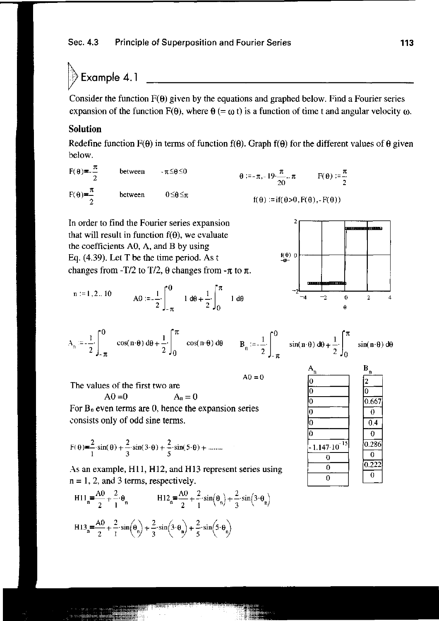$\ket{\ }$ Example 4.1

Consider the function  $F(\theta)$  given by the equations and graphed below. Find a Fourier series expansion of the function F( $\theta$ ), where  $\theta$  (=  $\omega$ ) is a function of time t and angular velocity  $\omega$ .

# **Solution**

Redefine function F( $\theta$ ) in terms of function f( $\theta$ ). Graph f( $\theta$ ) for the different values of  $\theta$  given below.



In order to find the Fourier series expansion that will result in function  $f(\theta)$ , we evaluate the coefficients A0, A, and B by using Eq. (4.39). Let T be the time period. As t changes from  $-T/2$  to  $T/2$ ,  $\theta$  changes from  $-\pi$  to  $\pi$ .

n := 1, 2... 10  
\n
$$
A0 := -\frac{1}{2} \int_{-\pi}^{0} 1 \ d\theta + \frac{1}{2} \int_{0}^{\pi} 1 \ d\theta
$$



$$
A_n := -\frac{1}{2} \int_{-\pi}^0 \cos(n \cdot \theta) d\theta + \frac{1}{2} \int_0^{\pi} \cos(n \cdot \theta) d\theta \qquad B_n := -\frac{1}{2} \int_{-\pi}^0 \sin(n \cdot \theta) d\theta + \frac{1}{2} \int_0^{\pi} \sin(n \cdot \theta) d\theta
$$

 $A0=0$ 

The values of the first two are

$$
A0 = 0 \qquad A_n = 0
$$

For  $B_n$  even terms are 0, hence the expansion series consists only of odd sine terms.

$$
F(\theta) = \frac{2}{1} \cdot \sin(\theta) + \frac{2}{3} \cdot \sin(3\cdot\theta) + \frac{2}{5} \cdot \sin(5\cdot\theta) + \dots
$$

As an example, H11, H12, and H13 represent series using  $n = 1, 2,$  and 3 terms, respectively.

$$
H11_n = \frac{AO}{2} + \frac{2}{1} \cdot \theta_n
$$
  
\n
$$
H12_n = \frac{AO}{2} + \frac{2}{1} \cdot \sin(\theta_n) + \frac{2}{3} \cdot \sin(3 \cdot \theta_n)
$$
  
\n
$$
H13_n = \frac{AO}{2} + \frac{2}{1} \cdot \sin(\theta_n) + \frac{2}{3} \cdot \sin(3 \cdot \theta_n) + \frac{2}{5} \cdot \sin(5 \cdot \theta_n)
$$

| v                                         |                    |
|-------------------------------------------|--------------------|
| Δ<br>'n                                   | B<br>'n            |
| $\bf{0}$                                  |                    |
| $\overline{\mathfrak{o}}$                 | $\frac{2}{0}$      |
| $\overline{0}$                            | 0.667              |
| $\vert 0 \vert$                           | 0                  |
| $\overline{\mathbf{0}}$                   | 0.4                |
| $\overline{0}$                            | 0                  |
| $\overline{15}$<br>$-1.147 \cdot 10^{-7}$ | 0.286              |
| 0                                         | 0                  |
| 0                                         | $\overline{0.222}$ |
| 0                                         | O                  |
|                                           |                    |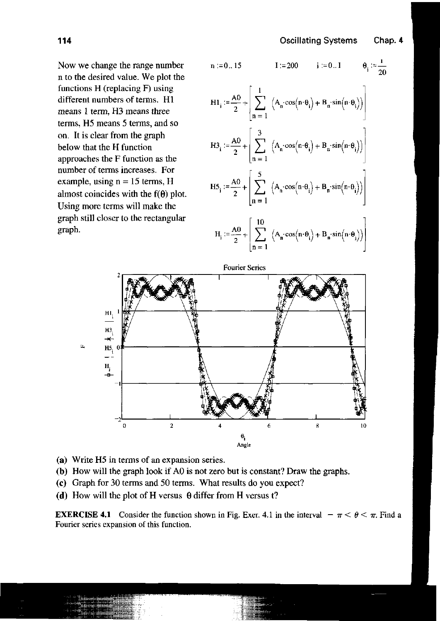Now we change the range number n to the desired value. We plot the functions H (replacing F) using different numbers of terms. HI means 1 term, H3 means three terms, H5 means 5 terms, and so on. It is clear from the graph below that the H function approaches the F function as the number of terms increases. For example, using  $n = 15$  terms, H almost coincides with the  $f(\theta)$  plot. Using more terms will make the graph still closer to the rectangular graph.

n := 0.. 15  
\n
$$
I := 200 \t i := 0.. I \t \theta_i := \frac{1}{20}
$$
\n
$$
H1_i := \frac{A0}{2} + \left[ \sum_{n=1}^{1} (A_n \cdot \cos(n \cdot \theta_i) + B_n \cdot \sin(n \cdot \theta_i)) \right]
$$
\n
$$
H3_i := \frac{A0}{2} + \left[ \sum_{n=1}^{3} (A_n \cdot \cos(n \cdot \theta_i) + B_n \cdot \sin(n \cdot \theta_i)) \right]
$$
\n
$$
H5_i := \frac{A0}{2} + \left[ \sum_{n=1}^{5} (A_n \cdot \cos(n \cdot \theta_i) + B_n \cdot \sin(n \cdot \theta_i)) \right]
$$
\n
$$
H_i := \frac{A0}{2} + \left[ \sum_{n=1}^{10} (A_n \cdot \cos(n \cdot \theta_i) + B_n \cdot \sin(n \cdot \theta_i)) \right]
$$

Fourier Series  $\frac{1}{k}$  /  $\frac{k}{k}$ HI.  *L* H3. 1  $\mathbf{r}$ H5. 0 1  $\frac{H_i}{2}$ **- 1** 0 2 4 6 8 10  $\theta_i$ Angle

- (a) Write H5 in terms of an expansion series.
- (b) How will the graph look if AO is not zero but is constant? Draw the graphs.
- (c) Graph for 30 terms and 50 terms. What results do you expect?
- (d) How will the plot of H versus  $\theta$  differ from H versus t?

**EXERCISE 4.1** Consider the function shown in Fig. Exer. 4.1 in the interval  $-\pi < \theta < \pi$ . Find a Fourier series expansion of this function.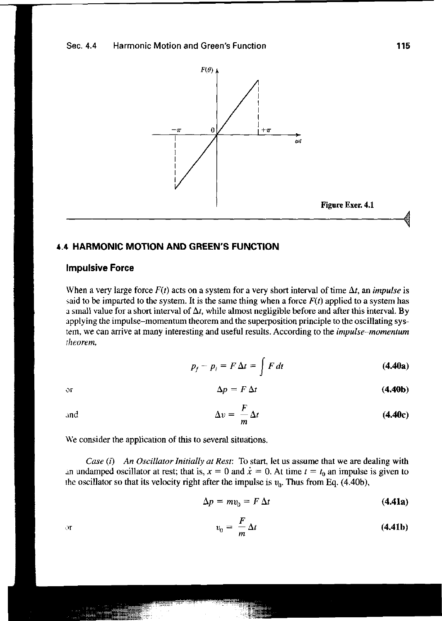#### Sec. 4.4 Harmonic Motion and Green's Function **115**



#### **4.4 HARMONIC MOTION AND GREEN'S FUNCTION**

#### **Impulsive Force**

When a very large force  $F(t)$  acts on a system for a very short interval of time  $\Delta t$ , an *impulse* is said to be imparted to the system. It is the same thing when a force  $F(t)$  applied to a system has a small value for a short interval of  $\Delta t$ , while almost negligible before and after this interval. By applying the impulse-momentum theorem and the superposition principle to the oscillating system, we can arrive at many interesting and useful results. According to the *impulse-momentum theorem,*

$$
p_f - p_i = F \Delta t = \int F dt
$$
 (4.40a)

or

$$
\Delta p = F \, \Delta t \tag{4.40b}
$$

$$
\Delta v = \frac{F}{m} \Delta t \tag{4.40c}
$$

and

We consider the application of this to several situations.

*Case* (*i*) An *Oscillator Initially at Rest*: To start, let us assume that we are dealing with an undamped oscillator at rest; that is,  $x = 0$  and  $\dot{x} = 0$ . At time  $t = t_0$  an impulse is given to the oscillator so that its velocity right after the impulse is  $v_0$ . Thus from Eq. (4.40b),

$$
\Delta p = m v_0 = F \, \Delta t \tag{4.41a}
$$

$$
v_0 = \frac{F}{m} \Delta t \tag{4.41b}
$$

or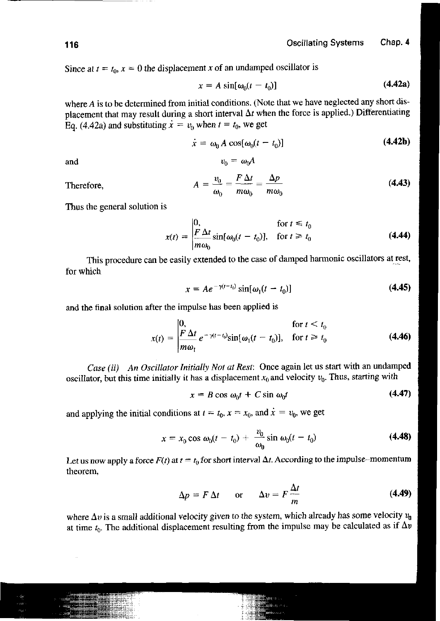(4.43)

Since at  $t = t_0$ ,  $x = 0$  the displacement x of an undamped oscillator is

$$
x = A \sin[\omega_0(t - t_0)] \tag{4.42a}
$$

where *A* is to be determined from initial conditions. (Note that we have neglected any short displacement that may result during a short interval  $\Delta t$  when the force is applied.) Differentiating Eq. (4.42a) and substituting  $\dot{x} = v_0$  when  $t = t_0$ , we get

 $v_0$   $F \Delta t$   $\Delta p$ 

 $m\omega_0$   $m\omega_0$ 

$$
\dot{x} = \omega_0 A \cos[\omega_0(t - t_0)]
$$
\n
$$
v_0 = \omega_0 A
$$
\n(4.42b)

and

Therefore,

Thus the general solution is

$$
x(t) = \begin{vmatrix} 0, & \text{for } t \leq t_0 \\ F \Delta t & \text{sin}[\omega_0(t - t_0)], & \text{for } t \geq t_0 \end{vmatrix} \tag{4.44}
$$

This procedure can be easily extended to the case of damped harmonic oscillators at rest, for which

$$
x = Ae^{-\gamma(t-t_0)}\sin[\omega_1(t-t_0)]\tag{4.45}
$$

and the final solution after the impulse has been applied is

$$
x(t) = \frac{\int_{0}^{t} \Delta t}{m\omega_{1}} e^{-\gamma(t-t_{0})} \sin[\omega_{1}(t-t_{0})], \quad \text{for } t \geq t_{0}
$$
 (4.46)

*Case (ii) An Oscillator Initially Not at Rest:* Once again let us start with an undamped oscillator, but this time initially it has a displacement  $x_0$  and velocity  $v_0$ . Thus, starting with

$$
x = B \cos \omega_0 t + C \sin \omega_0 t \tag{4.47}
$$

and applying the initial conditions at  $t = t_0$ ,  $x = x_0$ , and  $\dot{x} = v_0$ , we get

$$
x = x_0 \cos \omega_0 (t - t_0) + \frac{v_0}{\omega_0} \sin \omega_0 (t - t_0)
$$
 (4.48)

Let us now apply a force  $F(t)$  at  $t = t_0$  for short interval  $\Delta t$ . According to the impulse-momentum theorem,

$$
\Delta p = F \, \Delta t \qquad \text{or} \qquad \Delta v = F \, \frac{\Delta t}{m} \tag{4.49}
$$

where  $\Delta v$  is a small additional velocity given to the system, which already has some velocity  $v_0$ at time  $t_0$ . The additional displacement resulting from the impulse may be calculated as if  $\Delta v$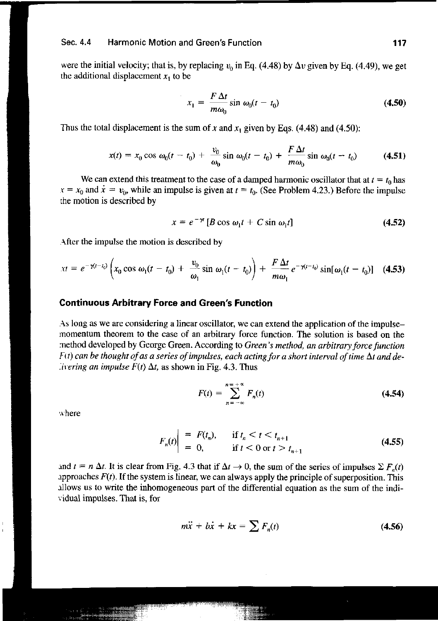### Sec. 4.4 Harmonic Motion and Green's Function 117

were the initial velocity; that is, by replacing  $v_0$  in Eq. (4.48) by  $\Delta v$  given by Eq. (4.49), we get the additional displacement  $x<sub>1</sub>$  to be

$$
x_1 = \frac{F \Delta t}{m \omega_0} \sin \omega_0 (t - t_0) \tag{4.50}
$$

Thus the total displacement is the sum of  $x$  and  $x<sub>1</sub>$  given by Eqs. (4.48) and (4.50):

$$
x(t) = x_0 \cos \omega_0 (t - t_0) + \frac{v_0}{\omega_0} \sin \omega_0 (t - t_0) + \frac{F \Delta t}{m \omega_0} \sin \omega_0 (t - t_0)
$$
 (4.51)

We can extend this treatment to the case of a damped harmonic oscillator that at  $t = t_0$  has  $x = x_0$  and  $\dot{x} = v_0$ , while an impulse is given at  $t = t_0$ . (See Problem 4.23.) Before the impulse the motion is described by

$$
x = e^{-\gamma t} [B \cos \omega_1 t + C \sin \omega_1 t]
$$
 (4.52)

After the impulse the motion is described by

$$
xt = e^{-\gamma(t-t_0)}\left(x_0 \cos \omega_1(t-t_0) + \frac{\omega_0}{\omega_1} \sin \omega_1(t-t_0)\right) + \frac{F \Delta t}{m \omega_1} e^{-\gamma(t-t_0)} \sin[\omega_1(t-t_0)] \quad (4.53)
$$

#### **Continuous Arbitrary Force and Green's Function**

As long as we are considering a linear oscillator, we can extend the application of the impulsemomentum theorem to the case of an arbitrary force function. The solution is based on the method developed by George Green. According to *Green's method, an arbitrary force function F{ t) can be thought of as a series of impulses, each acting for a short interval of time At and de-Avering an impulse*  $F(t) \Delta t$ *,* as shown in Fig. 4.3. Thus

$$
F(t) = \sum_{n = -\infty}^{n = +\infty} F_n(t)
$$
\n(4.54)

where

$$
F_n(t) = F(t_n), \quad \text{if } t_n < t < t_{n+1} = 0, \quad \text{if } t < 0 \text{ or } t > t_{n+1}
$$
 (4.55)

and  $t = n \Delta t$ . It is clear from Fig. 4.3 that if  $\Delta t \rightarrow 0$ , the sum of the series of impulses  $\sum F_n(t)$ approaches  $F(t)$ . If the system is linear, we can always apply the principle of superposition. This allows us to write the inhomogeneous part of the differential equation as the sum of the individual impulses. That is, for

$$
m\ddot{x} + b\dot{x} + kx = \sum F_n(t) \tag{4.56}
$$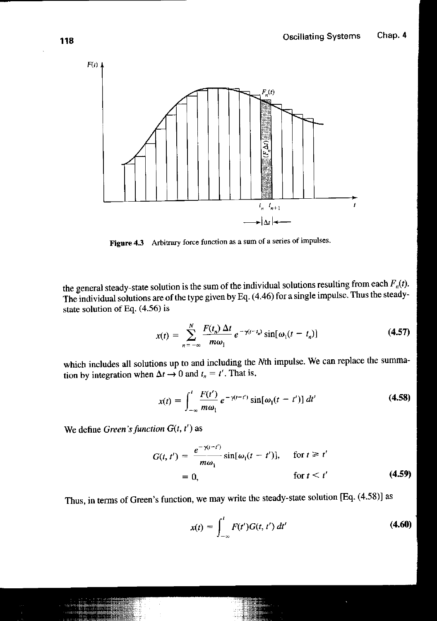

**Figure 4.3** Arbitrary force function as a sum of a series of impulses.

the general steady-state solution is the sum of the individual solutions resulting from each *Fn(t).* The individual solutions are of the type given by Eq. (4.46) for a single impulse. Thus the steadystate solution of Eq. (4.56) is

$$
x(t) = \sum_{n=-\infty}^{N} \frac{F(t_n) \Delta t}{m \omega_1} e^{-\gamma (t-t_n)} \sin[\omega_1 (t-t_n)] \qquad (4.57)
$$

which includes all solutions up to and including the Mh impulse. We can replace the summation by integration when  $\Delta t \rightarrow 0$  and  $t_n = t'$ . That is,

$$
x(t) = \int_{-\infty}^{t} \frac{F(t')}{m\omega_1} e^{-\gamma(t-t')} \sin[\omega_1(t-t')] dt'
$$
 (4.58)

We define *Green's function G(t, t')* as

$$
G(t, t') = \frac{e^{-\gamma(t-t')}}{m\omega_1} \sin[\omega_1(t-t')], \quad \text{for } t \geq t'
$$
  
= 0, \quad \text{for } t < t' \quad (4.59)

Thus, in terms of Green's function, we may write the steady-state solution [Eq. (4.58)] as

$$
x(t) = \int_{-\infty}^{t} F(t')G(t, t') dt'
$$
 (4.60)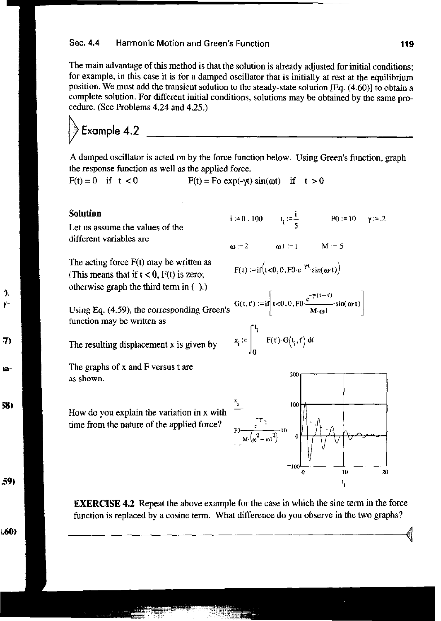# Sec. 4.4 Harmonic Motion and Green's Function 119

The main advantage of this method is that the solution is already adjusted for initial conditions; for example, in this case it is for a damped oscillator that is initially at rest at the equilibrium position. We must add the transient solution to the steady-state solution [Eq. (4.60)] to obtain a complete solution. For different initial conditions, solutions may be obtained by the same procedure. (See Problems 4.24 and 4.25.)

 $\geqslant$  Example 4.2

A damped oscillator is acted on by the force function below. Using Green's function, graph the response function as well as the applied force.

 $F(t) = 0$  if  $t < 0$   $F(t) = F_0 \exp(-\gamma t) \sin(\omega t)$  if  $t > 0$ 

#### **Solution**

Let us assume the values of the different variables are

The acting force  $F(t)$  may be written as (This means that if  $t < 0$ ,  $F(t)$  is zero; otherwise graph the third term in ( ).)

Using Eq. (4.59), the corresponding Green's  $G(t,t') := \int_0^t t < 0,0,0,0$ . function may be written as

$$
x_{i} := \int_{0}^{t_{i}} F(t) \cdot G(t_{i}, t) dt
$$

The resulting displacement x is given by

The graphs of x and F versus t are as shown.

How do you explain the variation in x with time from the nature of the applied force?



i:=0.. 100  $t_i:=\frac{1}{5}$  F0:=10  $\gamma$ :=.2

 $-\gamma(t-t)$ 

•sin(co-t)

 $\omega := 2$   $\omega_1 := 1$   $M := .5$ 

 $F(t) := if(t<0,0,F0 \cdot e^{-\gamma t} \cdot sin(\omega \cdot t))$ 

**EXERCISE 4.2** Repeat the above example for the case in which the sine term in the force function is replaced by a cosine term. What difference do you observe in the two graphs?

.60)

59)

ŋ. ¥÷

7)

12

58)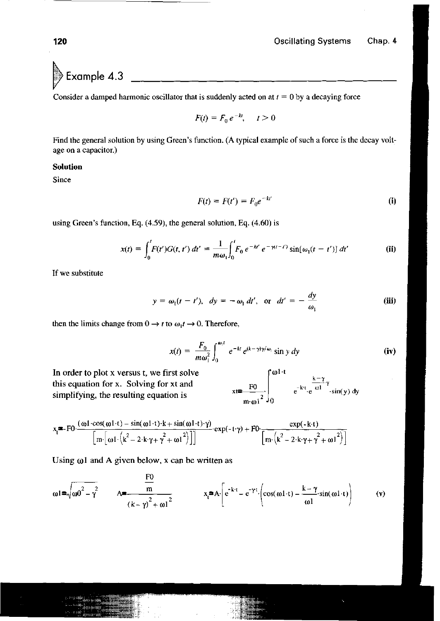Example 4.3

Consider a damped harmonic oscillator that is suddenly acted on at *t =* 0 by a decaying force

$$
F(t) = F_0 e^{-kt}, \quad t > 0
$$

<u> 1980 - Johann John Stone, mars eta biztanleria (</u>

Find the general solution by using Green's function. (A typical example of such a force is the decay voltage on a capacitor.)

#### **Solution**

Since

$$
F(t) = F(t') = F_0 e^{-kt'} \tag{1}
$$

using Green's function, Eq. (4.59), the general solution, Eq. (4.60) is

$$
x(t) = \int_0^t F(t')G(t, t') dt' = \frac{1}{m\omega_1} \int_0^t F_0 e^{-kt'} e^{-\gamma(t-t')} \sin[\omega_1(t - t')] dt'
$$
 (ii)

If we substitute

$$
y = \omega_1(t - t'), \quad dy = -\omega_1 dt', \quad \text{or} \quad dt' = -\frac{dy}{\omega_1} \tag{iii}
$$

then the limits change from  $0 \to t$  to  $\omega_1 t \to 0$ . Therefore,

$$
x(t) = \frac{F_0}{m\omega_1^2} \int_0^{\omega_1 t} e^{-kt} e^{(k-\gamma)\gamma/\omega_1} \sin y \, dy \tag{iv}
$$

In order to plot x versus t, we first solve this equation for x. Solving for xt and simplifying, the resulting equation is

$$
x = \frac{F0}{m \cdot \omega^2} \int_{0}^{\omega^2 t} e^{-kt} e^{\frac{k-\gamma}{\omega^2}} sin(y) dy
$$

$$
x_t = F0 \cdot \frac{(\omega 1 \cdot \cos(\omega 1 \cdot t) - \sin(\omega 1 \cdot t) \cdot k + \sin(\omega 1 \cdot t) \cdot \gamma)}{\left[\mathrm{m} \cdot \left[\omega 1 \cdot \left(k^2 - 2 \cdot k \cdot \gamma + \gamma^2 + \omega 1^2\right)\right]\right]} \cdot \exp(-t \cdot \gamma) + F0 \cdot \frac{\exp(-k \cdot t)}{\left[\mathrm{m} \cdot \left(k^2 - 2 \cdot k \cdot \gamma + \gamma^2 + \omega 1^2\right)\right]}
$$

Using  $\omega$ 1 and A given below, x can be written as

$$
\omega \mathbf{1} = \sqrt{\omega \omega^2 - \gamma^2} \qquad A = \frac{\frac{F0}{m}}{(k - \gamma)^2 + \omega \mathbf{1}^2} \qquad x_i = A \cdot \left[ e^{-k \cdot t} - e^{-\gamma t} \cdot \left( \cos(\omega t \cdot t) - \frac{k - \gamma}{\omega} \cdot \sin(\omega t \cdot t) \right) \right] \qquad (v)
$$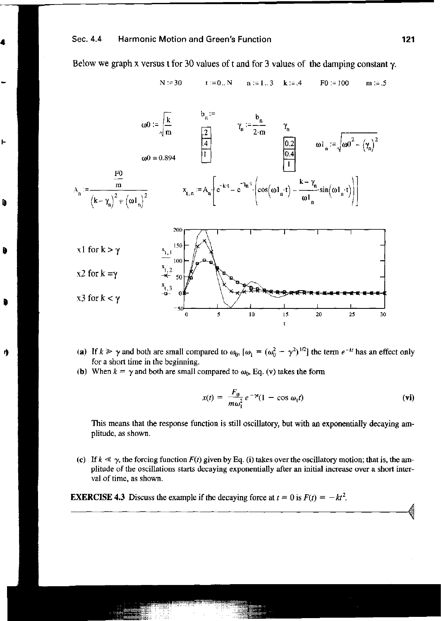#### Sec. 4.4 Harmonic Motion and Green's Function 121 121

H

D



Below we graph x versus t for 30 values of t and for 3 values of the damping constant *y.*

$$
N:=30 \qquad \qquad t:=0.. \,N \qquad \, n:=1.. \,3 \quad \ \, k:=.4 \qquad \quad F0:=100 \qquad \ \, m:=.5
$$

- (a) If  $k \ge \gamma$  and both are small compared to  $\omega_0$ ,  $[\omega_1 = (\omega_0^2 \gamma^2)^{1/2}]$  the term  $e^{-kt}$  has an effect only for a short time in the beginning.
- (b) When  $k = \gamma$  and both are small compared to  $\omega_0$ , Eq. (v) takes the form

$$
x(t) = \frac{F_0}{m\omega_1^2} e^{-\gamma t} (1 - \cos \omega_1 t)
$$
 (vi)

This means that the response function is still oscillatory, but with an exponentially decaying amplitude, as shown.

(c) If  $k \ll \gamma$ , the forcing function  $F(t)$  given by Eq. (i) takes over the oscillatory motion; that is, the amplitude of the oscillations starts decaying exponentially after an initial increase over a short interval of time, as shown.

**EXERCISE 4.3** Discuss the example if the decaying force at  $t = 0$  is  $F(t) = -kt^2$ .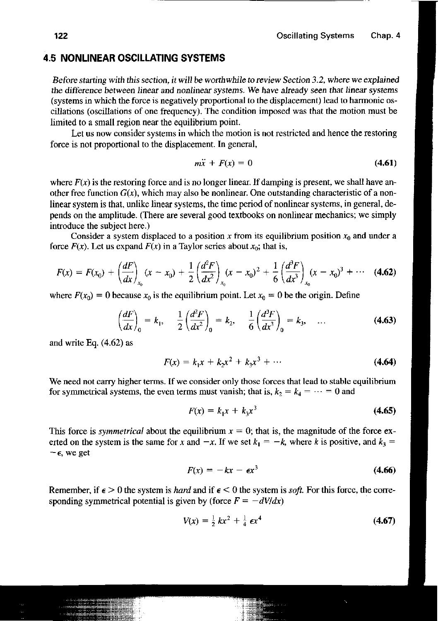# **4.5 NONLINEAR OSCILLATING SYSTEMS**

*Before starting with this section, it will be worthwhile to review Section 3.2, where we explained* the difference between linear and nonlinear systems. We have already seen that linear systems (systems in which the force is negatively proportional to the displacement) lead to harmonic oscillations (oscillations of one frequency). The condition imposed was that the motion must be limited to a small region near the equilibrium point.

Let us now consider systems in which the motion is not restricted and hence the restoring force is not proportional to the displacement. In general,

$$
m\ddot{x} + F(x) = 0 \tag{4.61}
$$

where  $F(x)$  is the restoring force and is no longer linear. If damping is present, we shall have another free function  $G(x)$ , which may also be nonlinear. One outstanding characteristic of a nonlinear system is that, unlike linear systems, the time period of nonlinear systems, in general, depends on the amplitude. (There are several good textbooks on nonlinear mechanics; we simply introduce the subject here.)

Consider a system displaced to a position x from its equilibrium position  $x<sub>0</sub>$  and under a force  $F(x)$ . Let us expand  $F(x)$  in a Taylor series about  $x_0$ ; that is,

$$
F(x) = F(x_0) + \left(\frac{dF}{dx}\right)_{x_0} (x - x_0) + \frac{1}{2} \left(\frac{d^2F}{dx^2}\right)_{x_0} (x - x_0)^2 + \frac{1}{6} \left(\frac{d^3F}{dx^3}\right)_{x_0} (x - x_0)^3 + \cdots
$$
 (4.62)

where  $F(x_0) = 0$  because  $x_0$  is the equilibrium point. Let  $x_0 = 0$  be the origin. Define

$$
\left(\frac{dF}{dx}\right)_0 = k_1, \quad \frac{1}{2}\left(\frac{d^2F}{dx^2}\right)_0 = k_2, \quad \frac{1}{6}\left(\frac{d^3F}{dx^3}\right)_0 = k_3, \quad \dots \tag{4.63}
$$

and write Eq. (4.62) as

$$
F(x) = k_1 x + k_2 x^2 + k_3 x^3 + \cdots
$$
 (4.64)

We need not carry higher terms. If we consider only those forces that lead to stable equilibrium for symmetrical systems, the even terms must vanish; that is,  $k_2 = k_4 = \cdots = 0$  and

$$
F(x) = k_1 x + k_3 x^3
$$
 (4.65)

This force is *symmetrical* about the equilibrium  $x = 0$ ; that is, the magnitude of the force exerted on the system is the same for x and  $-x$ . If we set  $k_1 = -k$ , where k is positive, and  $k_3 =$ *— e,* we get

$$
F(x) = -kx - \epsilon x^3 \tag{4.66}
$$

Remember, if  $\epsilon > 0$  the system is *hard* and if  $\epsilon < 0$  the system is *soft*. For this force, the corresponding symmetrical potential is given by (force  $F = -dV/dx$ )

$$
V(x) = \frac{1}{2} kx^2 + \frac{1}{4} \epsilon x^4
$$
 (4.67)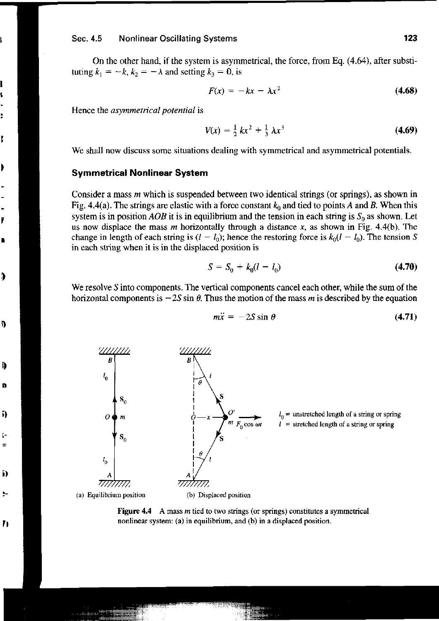#### Sec. 4.5 Nonlinear Oscillating Systems **123**

On the other hand, if the system is asymmetrical, the force, from Eq. (4.64), after substituting  $k_1 = -k$ ,  $k_2 = -\lambda$  and setting  $k_3 = 0$ , is

$$
F(x) = -kx - \lambda x^2 \tag{4.68}
$$

Hence the *asymmetrical potential* is

È

ţ

ľ

)

ŋ

D

D

i)

к- $\equiv$ 

í)

Ņ.

D

$$
V(x) = \frac{1}{2} kx^2 + \frac{1}{3} \lambda x^3
$$
 (4.69)

We shall now discuss some situations dealing with symmetrical and asymmetrical potentials.

#### **Symmetrical Nonlinear System**

Consider a mass *m* which is suspended between two identical strings (or springs), as shown in Fig. 4.4(a). The strings are elastic with a force constant  $k_0$  and tied to points A and B. When this system is in position  $AOB$  it is in equilibrium and the tension in each string is  $S_0$  as shown. Let us now displace the mass *m* horizontally through a distance *x,* as shown in Fig. 4.4(b). The change in length of each string is  $(l - l_0)$ ; hence the restoring force is  $k_0(l - l_0)$ . The tension S in each string when it is in the displaced position is

$$
S = S_0 + k_0 (l - l_0) \tag{4.70}
$$

We resolve *S* into components. The vertical components cancel each other, while the sum of the horizontal components is —25 sin *6.* Thus the motion of the mass *m* is described by the equation

$$
m\ddot{x} = -2S\sin\theta\tag{4.71}
$$



**Figure 4.4** A mass *m* tied to two strings (or springs) constitutes a symmetrical nonlinear system: (a) in equilibrium, and (b) in a displaced position.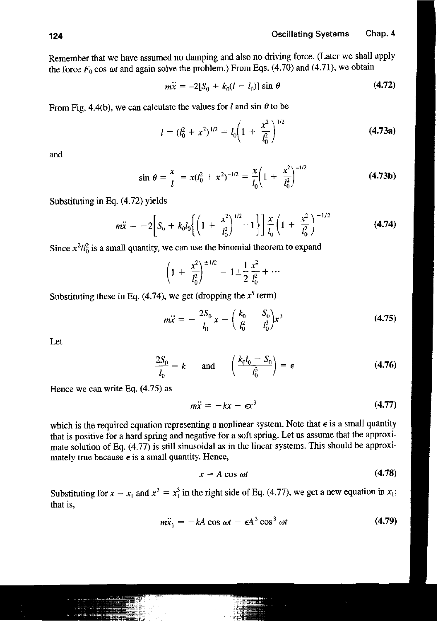Remember that we have assumed no damping and also no driving force. (Later we shall apply the force  $F_0$  cos  $\omega t$  and again solve the problem.) From Eqs. (4.70) and (4.71), we obtain

$$
m\ddot{x} = -2[S_0 + k_0(l - l_0)]\sin\theta
$$
 (4.72)

From Fig. 4.4(b), we can calculate the values for  $l$  and sin  $\theta$  to be

$$
l = (l_0^2 + x^2)^{1/2} = l_0 \left(1 + \frac{x^2}{l_0^2}\right)^{1/2}
$$
 (4.73a)

and

$$
\sin \theta = \frac{x}{l} = x(l_0^2 + x^2)^{-1/2} = \frac{x}{l_0} \left( 1 + \frac{x^2}{l_0^2} \right)^{-1/2}
$$
 (4.73b)

Substituting in Eq. (4.72) yields

$$
m\ddot{x} = -2\bigg[S_0 + k_0l_0\bigg\{\bigg(1 + \frac{x^2}{l_0^2}\bigg)^{1/2} - 1\bigg\}\bigg]\frac{x}{l_0}\bigg(1 + \frac{x^2}{l_0^2}\bigg)^{-1/2} \qquad (4.74)
$$

Since  $x^2/l_0^2$  is a small quantity, we can use the binomial theorem to expand

$$
\left(1 + \frac{x^2}{l_0^2}\right)^{\pm 1/2} = 1 \pm \frac{1}{2} \frac{x^2}{l_0^2} + \cdots
$$

Substituting these in Eq.  $(4.74)$ , we get  $(d$ ropping the  $x^5$  term)

$$
m\ddot{x} = -\frac{2S_0}{l_0}x - \left(\frac{k_0}{l_0^2} - \frac{S_0}{l_0^3}\right)x^3
$$
 (4.75)

Let

$$
\frac{2S_0}{l_0} = k \quad \text{and} \quad \left(\frac{k_0 l_0 - S_0}{l_0^3}\right) = \epsilon \tag{4.76}
$$

Hence we can write Eq. (4.75) as

$$
m\ddot{x} = -kx - \epsilon x^3 \tag{4.77}
$$

which is the required equation representing a nonlinear system. Note that  $\epsilon$  is a small quantity that is positive for a hard spring and negative for a soft spring. Let us assume that the approximate solution of Eq. (4.77) is still sinusoidal as in the linear systems. This should be approximately true because  $\epsilon$  is a small quantity. Hence,

$$
x = A \cos \omega t \tag{4.78}
$$

Substituting for  $x = x_1$  and  $x^3 = x_1^3$  in the right side of Eq. (4.77), we get a new equation in  $x_1$ ; that is,

$$
m\ddot{x}_1 = -kA\cos\omega t - \epsilon A^3\cos^3\omega t \qquad (4.79)
$$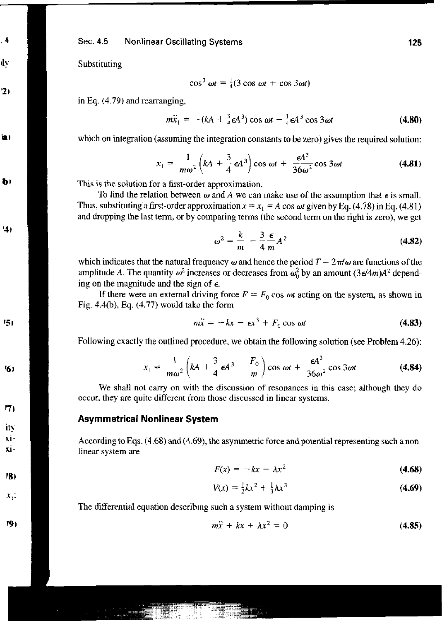#### Sec. 4.5 Nonlinear Oscillating Systems **125**

Substituting

ıĮ۷

 $\mathbf{2}$ 

'nэ

b)

 $(4)$ 

 $15<sub>1</sub>$ 

16)

IJ۱

ity χixi-

781

 $\mathbf{X}_{1}$ .

**79)** 

$$
\cos^3 \omega t = \frac{1}{4}(3 \cos \omega t + \cos 3\omega t)
$$

in Eq. (4.79) and rearranging,

$$
m\ddot{x}_1 = -(kA + \frac{3}{4}\epsilon A^3)\cos \omega t - \frac{1}{4}\epsilon A^3\cos 3\omega t \qquad (4.80)
$$

which on integration (assuming the integration constants to be zero) gives the required solution:

$$
x_1 = \frac{1}{m\omega^2} \left( kA + \frac{3}{4} \epsilon A^3 \right) \cos \omega t + \frac{\epsilon A^3}{36\omega^2} \cos 3\omega t \tag{4.81}
$$

This is the solution for a first-order approximation.

To find the relation between  $\omega$  and A we can make use of the assumption that  $\epsilon$  is small. Thus, substituting a first-order approximation  $x = x_1 = A \cos \omega t$  given by Eq. (4.78) in Eq. (4.81) and dropping the last term, or by comparing terms (the second term on the right is zero), we get

$$
\omega^2 = \frac{k}{m} + \frac{3}{4} \frac{\epsilon}{m} A^2 \tag{4.82}
$$

which indicates that the natural frequency  $\omega$  and hence the period  $T = 2\pi/\omega$  are functions of the amplitude A. The quantity  $\omega^2$  increases or decreases from  $\omega_0^2$  by an amount  $(3\epsilon/4m)A^2$  depending on the magnitude and the sign of  $\epsilon$ .

If there were an external driving force  $F = F_0 \cos \omega t$  acting on the system, as shown in Fig. 4.4(b), Eq. (4.77) would take the form

$$
m\ddot{x} = -kx - \epsilon x^3 + F_0 \cos \omega t \tag{4.83}
$$

Following exactly the outlined procedure, we obtain the following solution (see Problem 4.26):

$$
x_1 = \frac{1}{m\omega^2} \left( kA + \frac{3}{4} \epsilon A^3 - \frac{F_0}{m} \right) \cos \omega t + \frac{\epsilon A^3}{36\omega^2} \cos 3\omega t \tag{4.84}
$$

We shall not carry on with the discussion of resonances in this case; although they do occur, they are quite different from those discussed in linear systems.

#### **Asymmetrical Nonlinear System**

According to Eqs. (4.68) and (4.69), the asymmetric force and potential representing such a nonlinear system are

$$
F(x) = -kx - \lambda x^2 \tag{4.68}
$$

$$
V(x) = \frac{1}{2}kx^2 + \frac{1}{3}\lambda x^3
$$
 (4.69)

The differential equation describing such a system without damping is

$$
m\ddot{x} + kx + \lambda x^2 = 0 \tag{4.85}
$$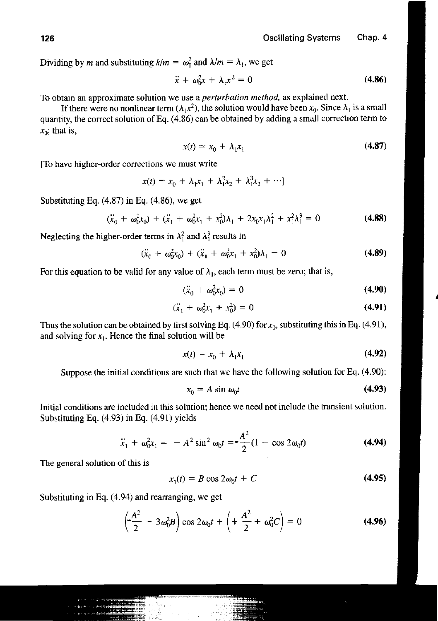Dividing by *m* and substituting  $k/m = \omega_0^2$  and  $\lambda/m = \lambda_1$ , we get

$$
\ddot{x} + \omega_0^2 x + \lambda_1 x^2 = 0 \tag{4.86}
$$

To obtain an approximate solution we use a *perturbation method,* as explained next.

If there were no nonlinear term  $(\lambda_1 x^2)$ , the solution would have been  $x_0$ . Since  $\lambda_1$  is a small quantity, the correct solution of Eq. (4.86) can be obtained by adding a small correction term to  $x_0$ ; that is,

$$
x(t) \simeq x_0 + \lambda_1 x_1 \tag{4.87}
$$

[To have higher-order corrections we must write

$$
x(t) = x_0 + \lambda_1 x_1 + \lambda_1^2 x_2 + \lambda_1^3 x_3 + \cdots
$$

Substituting Eq. (4.87) in Eq. (4.86), we get

$$
(\ddot{x}_0 + \omega_0^2 x_0) + (\ddot{x}_1 + \omega_0^2 x_1 + x_0^2) \lambda_1 + 2x_0 x_1 \lambda_1^2 + x_1^2 \lambda_1^3 = 0 \qquad (4.88)
$$

Neglecting the higher-order terms in  $\lambda_1^2$  and  $\lambda_1^3$  results in

$$
(\ddot{x}_0 + \omega_0^2 x_0) + (\ddot{x}_1 + \omega_0^2 x_1 + x_0^2) \lambda_1 = 0 \tag{4.89}
$$

For this equation to be valid for any value of  $\lambda_1$ , each term must be zero; that is,

$$
(\ddot{x}_0 + \omega_0^2 x_0) = 0 \tag{4.90}
$$

$$
(\ddot{x}_1 + \omega_0^2 x_1 + x_0^2) = 0 \tag{4.91}
$$

Thus the solution can be obtained by first solving Eq.  $(4.90)$  for  $x_0$ , substituting this in Eq.  $(4.91)$ , and solving for  $x_1$ . Hence the final solution will be

$$
x(t) = x_0 + \lambda_1 x_1 \tag{4.92}
$$

Suppose the initial conditions are such that we have the following solution for Eq. (4.90):

$$
x_0 = A \sin \omega_0 t \tag{4.93}
$$

Initial conditions are included in this solution; hence we need not include the transient solution. Substituting Eq. (4.93) in Eq. (4.91) yields

$$
\ddot{x}_1 + \omega_0^2 x_1 = -A^2 \sin^2 \omega_0 t = \frac{A^2}{2} (1 - \cos 2\omega_0 t)
$$
 (4.94)

The general solution of this is

$$
x_1(t) = B \cos 2\omega_0 t + C \tag{4.95}
$$

Substituting in Eq. (4.94) and rearranging, we get

$$
\left(-\frac{A^2}{2} - 3\omega_0^2 B\right)\cos 2\omega_0 t + \left(+\frac{A^2}{2} + \omega_0^2 C\right) = 0 \tag{4.96}
$$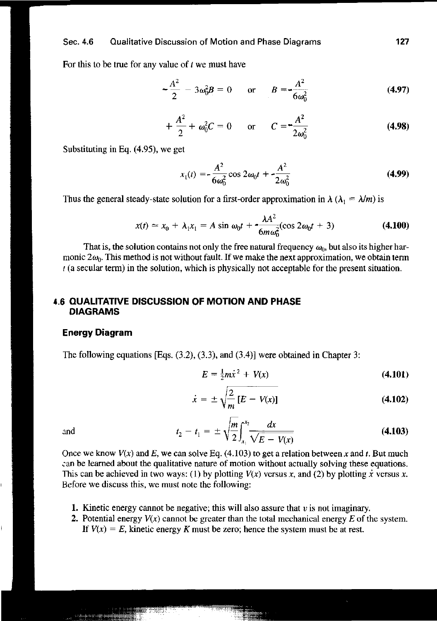For this to be true for any value of *t* we must have

$$
-\frac{A^2}{2} - 3\omega_0^2 B = 0 \quad \text{or} \quad B = -\frac{A^2}{6\omega_0^2} \tag{4.97}
$$

$$
+\frac{A^2}{2} + \omega_0^2 C = 0 \qquad \text{or} \qquad C = \frac{A^2}{2\omega_0^2} \tag{4.98}
$$

Substituting in Eq. (4.95), we get

$$
x_1(t) = -\frac{A^2}{6\omega_0^2} \cos 2\omega_0 t + \frac{A^2}{2\omega_0^2}
$$
 (4.99)

Thus the general steady-state solution for a first-order approximation in  $\lambda$  ( $\lambda_1 = \lambda/m$ ) is

$$
x(t) \simeq x_0 + \lambda_1 x_1 = A \sin \omega_0 t + \frac{\lambda A^2}{6m \omega_0^2} (\cos 2\omega_0 t + 3)
$$
 (4.100)

That is, the solution contains not only the free natural frequency  $\omega_0$ , but also its higher harmonic  $2\omega_0$ . This method is not without fault. If we make the next approximation, we obtain term *t* (a secular term) in the solution, which is physically not acceptable for the present situation.

# **4.6 QUALITATIVE DISCUSSION OF MOTION AND PHASE DIAGRAMS**

#### **Energy Diagram**

The following equations [Eqs. (3.2), (3.3), and (3.4)] were obtained in Chapter 3:

$$
E = \frac{1}{2}m\dot{x}^2 + V(x) \tag{4.101}
$$

$$
\dot{x} = \pm \sqrt{\frac{2}{m} \left[ E - V(x) \right]}
$$
 (4.102)

and

$$
t_2 - t_1 = \pm \sqrt{\frac{m}{2}} \int_{x_1}^{x_2} \frac{dx}{\sqrt{E - V(x)}}
$$
(4.103)

Once we know  $V(x)$  and E, we can solve Eq.  $(4.103)$  to get a relation between x and t. But much can be learned about the qualitative nature of motion without actually solving these equations. This can be achieved in two ways: (1) by plotting  $V(x)$  versus x, and (2) by plotting  $\dot{x}$  versus x. Before we discuss this, we must note the following:

- 1. Kinetic energy cannot be negative; this will also assure that  $v$  is not imaginary.
- 2. Potential energy  $V(x)$  cannot be greater than the total mechanical energy  $E$  of the system. If  $V(x) = E$ , kinetic energy K must be zero; hence the system must be at rest.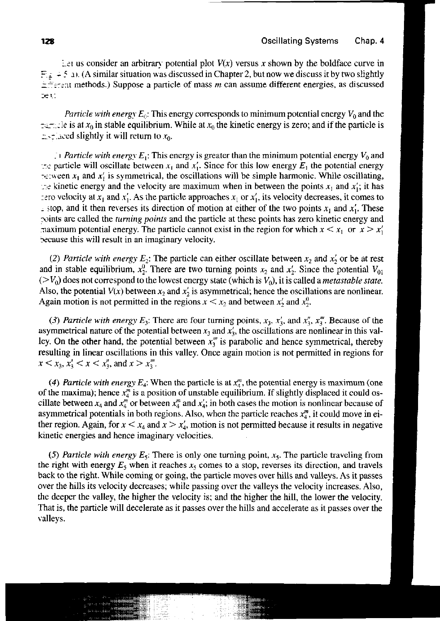Let us consider an arbitrary potential plot  $V(x)$  versus x shown by the boldface curve in *F.z*  $\neq$  5 a). (A similar situation was discussed in Chapter 2, but now we discuss it by two slightly r.~r'ent methods.) Suppose a particle of mass *m* can assume different energies, as discussed  $\mathbb{C} \in \mathbb{C}^*$ 

*Particle with energy*  $E_0$ : This energy corresponds to minimum potential energy  $V_0$  and the  $\frac{1}{2}$ *i* le is at  $x_0$  in stable equilibrium. While at  $x_0$  the kinetic energy is zero; and if the particle is z-r!jced slightly it will return to *x0.*

... *Particle with energy*  $E_1$ : This energy is greater than the minimum potential energy  $V_0$  and  $\mathbf{x}_c$  particle will oscillate between  $x_i$  and  $x'_i$ . Since for this low energy  $E_i$  the potential energy retween  $x_1$  and  $x_1$  is symmetrical, the oscillations will be simple harmonic. While oscillating,  $\therefore$  kinetic energy and the velocity are maximum when in between the points  $x_1$  and  $x_1'$ ; it has zero velocity at  $x_1$  and  $x'_1$ . As the particle approaches  $x_1$  or  $x'_1$ , its velocity decreases, it comes to  $\therefore$  stop, and it then reverses its direction of motion at either of the two points  $x_i$  and  $x_i'$ . These roints are called the *turning points* and the particle at these points has zero kinetic energy and maximum potential energy. The particle cannot exist in the region for which  $x \le x_1$  or  $x \ge x'_1$ because this will result in an imaginary velocity.

(2) Particle with energy  $E_2$ : The particle can either oscillate between  $x_2$  and  $x'_2$  or be at rest and in stable equilibrium,  $x_2^0$ . There are two turning points  $x_2$  and  $x'_2$ . Since the potential  $V_{01}$  $(> V_0)$  does not correspond to the lowest energy state (which is  $V_0$ ), it is called a *metastable state*. Also, the potential  $V(x)$  between  $x_2$  and  $x_2$  is asymmetrical; hence the oscillations are nonlinear. Again motion is not permitted in the regions  $x \leq x_2$  and between  $x'_2$  and  $x_2^0$ .

*(3) Particle with energy E3:* There are four turning points, *x3, x'3,* and *x"3, x3.* Because of the asymmetrical nature of the potential between  $x_3$  and  $x_3'$ , the oscillations are nonlinear in this valley. On the other hand, the potential between  $x_3''$  is parabolic and hence symmetrical, thereby resulting in linear oscillations in this valley. Once again motion is not permitted in regions for  $x < x_3, x'_3 < x < x''_3,$  and  $x > x''_3$ .

(4) Particle with energy  $E_4$ : When the particle is at  $x_4^n$ , the potential energy is maximum (one of the maxima); hence  $x_4^m$  is a position of unstable equilibrium. If slightly displaced it could oscillate between  $x_4$  and  $x_4^m$  or between  $x_4^m$  and  $x_4^r$ ; in both cases the motion is nonlinear because of asymmetrical potentials in both regions. Also, when the particle reaches *x%,* it could move in either region. Again, for  $x < x_4$  and  $x > x'_4$ , motion is not permitted because it results in negative kinetic energies and hence imaginary velocities.

(5) Particle with energy  $E_5$ : There is only one turning point,  $x_5$ . The particle traveling from the right with energy  $E_5$  when it reaches  $x_5$  comes to a stop, reverses its direction, and travels back to the right. While coming or going, the particle moves over hills and valleys. As it passes over the hills its velocity decreases; while passing over the valleys the velocity increases. Also, the deeper the valley, the higher the velocity is; and the higher the hill, the lower the velocity. That is, the particle will decelerate as it passes over the hills and accelerate as it passes over the valleys.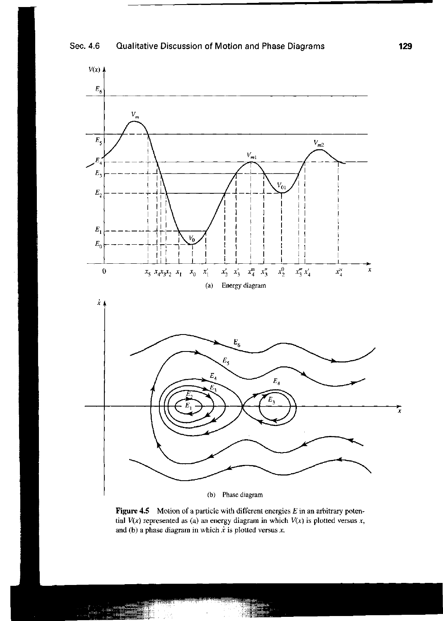Sec. 4.6 Qualitative Discussion of Motion and Phase Diagrams 129



**Figure 4.5** Motion of a particle with different energies *E* in an arbitrary potential  $V(x)$  represented as (a) an energy diagram in which  $V(x)$  is plotted versus x, and (b) a phase diagram in which *x* is plotted versus *x.*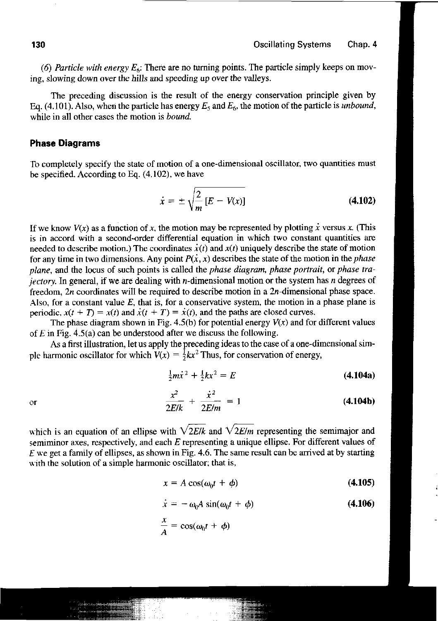(6) Particle with energy  $E_6$ : There are no turning points. The particle simply keeps on moving, slowing down over the hills and speeding up over the valleys.

The preceding discussion is the result of the energy conservation principle given by Eq. (4.101). Also, when the particle has energy *E5* and *E6,* the motion of the particle is *unbound,* while in all other cases the motion is *bound.*

#### **Phase Diagrams**

To completely specify the state of motion of a one-dimensional oscillator, two quantities must be specified. According to Eq. (4.102), we have

$$
\dot{x} = \pm \sqrt{\frac{2}{m} \left[ E - V(x) \right]}
$$
 (4.102)

If we know  $V(x)$  as a function of x, the motion may be represented by plotting x versus x. (This is in accord with a second-order differential equation in which two constant quantities are needed to describe motion.) The coordinates  $\dot{x}(t)$  and  $x(t)$  uniquely describe the state of motion for any time in two dimensions. Any point  $P(x, x)$  describes the state of the motion in the *phase plane,* and the locus of such points is called the *phase diagram, phase portrait,* or *phase trajectory*. In general, if we are dealing with *n*-dimensional motion or the system has *n* degrees of freedom, *2n* coordinates will be required to describe motion in a 2n-dimensional phase space. Also, for a constant value *E,* that is, for a conservative system, the motion in a phase plane is periodic,  $x(t + T) = x(t)$  and  $\dot{x}(t + T) = x(t)$ , and the paths are closed curves.

The phase diagram shown in Fig.  $4.5(b)$  for potential energy  $V(x)$  and for different values of *E* in Fig. 4.5(a) can be understood after we discuss the following.

As a first illustration, let us apply the preceding ideas to the case of a one-dimensional simple harmonic oscillator for which  $V(x) = \frac{1}{2}kx^2$  Thus, for conservation of energy,

$$
\frac{1}{2}m\dot{x}^2 + \frac{1}{2}kx^2 = E
$$
 (4.104a)

$$
\frac{x^2}{2E/k} + \frac{\dot{x}^2}{2E/m} = 1
$$
 (4.104b)

or

which is an equation of an ellipse with  $\sqrt{2E/k}$  and  $\sqrt{2E/m}$  representing the semimajor and semiminor axes, respectively, and each *E* representing a unique ellipse. For different values of  $E$  we get a family of ellipses, as shown in Fig. 4.6. The same result can be arrived at by starting with the solution of a simple harmonic oscillator; that is,

$$
x = A\cos(\omega_0 t + \phi) \tag{4.105}
$$

$$
\dot{x} = -\omega_0 A \sin(\omega_0 t + \phi) \tag{4.106}
$$

$$
\frac{x}{A} = \cos(\omega_0 t + \phi)
$$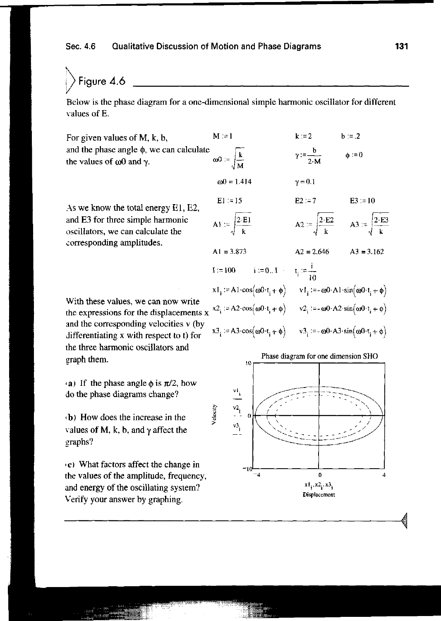# $\overline{\phantom{a}}$  Figure 4.6

Below is the phase diagram for a one-dimensional simple harmonic oscillator for different values of E.

 $M := 1$ **k:=2**  $b := 2$ For given values of M, k, b, and the phase angle  $\phi$ , we can calculate  $\omega$ 0 :=  $\frac{k}{M}$  $\phi := 0$  $\gamma = \frac{1}{2 \cdot M}$ the values of  $\omega$ 0 and  $\gamma$ .  $\omega$ <sup>0</sup> = 1.414  $\gamma = 0.1$  $E1 = 15$  $E2 := 7$  $E3 := 10$ As we know the total energy El, E2, A1 :=  $\frac{2 \cdot E1}{k}$ and E3 for three simple harmonic  $A2 := \begin{cases} \frac{\pi}{2} & A3 := \end{cases}$ oscillators, we can calculate the corresponding amplitudes. A1 = 3.873  $A2 = 2.646$   $A3 = 3.162$  $I := 100$  i:=0.. I t<sub>i</sub> :=  $\frac{1}{10}$  $x1_i := A1 \cdot cos(\omega 0 \cdot t_i + \phi)$   $v1_i := -\omega 0 \cdot A1 \cdot sin(\omega 0 \cdot t_i + \phi)$ With these values, we can now write  $x2_i := A2 \cdot \cos(\omega 0 \cdot t_i + \phi)$   $v2_i := -\omega 0 \cdot A2 \cdot \sin(\omega 0 \cdot t_i + \phi)$ the expressions for the displacements x

Velocity

and the corresponding velocities v (by differentiating x with respect to t) for the three harmonic oscillators and graph them.

(a) If the phase angle  $\phi$  is  $\pi/2$ , how do the phase diagrams change?

ib) How does the increase in the values of M, k, b, and *y* affect the graphs?

• c) What factors affect the change in the values of the amplitude, frequency, and energy of the oscillating system? Verify your answer by graphing.

# Phase diagram for one dimension SHO



 $x3 := A3 \cdot \cos\{\omega 0 \cdot t + \phi\}$  v3;  $= -\omega 0 \cdot A3 \cdot \sin\{\omega 0 \cdot t + \phi\}$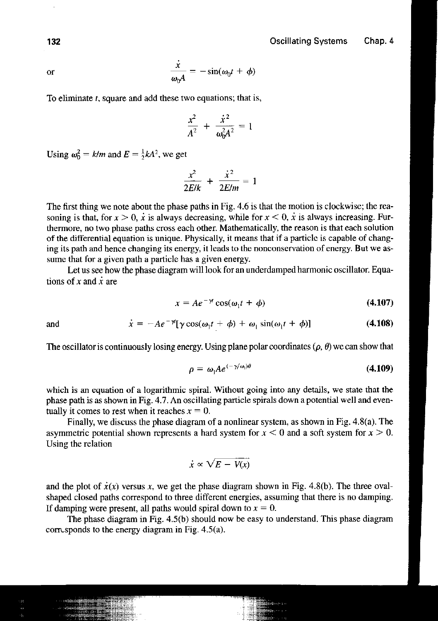**132 Chapel Contract Chap. 4 Contract Chap. 4 Contract Chap. 4 Chap. 4 Chap. 4 Chap. 4 Chap. 4 Chap. 4 Chap. 4 Chap. 4 Chap. 4 Chap. 4 Chap. 4 Chap. 4 Chap. 4 Chap. 4 Chap. 4 Chap. 4 Chap. 4 Chap. 4 Chap. 4 Chap. 4 Chap.** 

or 
$$
\frac{\dot{x}}{\omega_0 A} = -\sin(\omega_0 t + \phi)
$$

To eliminate *t,* square and add these two equations; that is,

$$
\frac{x^2}{A^2} + \frac{\dot{x}^2}{\omega_0^2 A^2} = 1
$$

Using  $\omega_0^2 = k/m$  and  $E = \frac{1}{2}kA^2$ , we get

$$
\frac{x^2}{2E/k} + \frac{\dot{x}^2}{2E/m} = 1
$$

The first thing we note about the phase paths in Fig. 4.6 is that the motion is clockwise; the reasoning is that, for  $x > 0$ ,  $\dot{x}$  is always decreasing, while for  $x < 0$ ,  $\dot{x}$  is always increasing. Furthermore, no two phase paths cross each other. Mathematically, the reason is that each solution of the differential equation is unique. Physically, it means that if a particle is capable of changing its path and hence changing its energy, it leads to the nonconservation of energy. But we assume that for a given path a particle has a given energy.

Let us see how the phase diagram will look for an underdamped harmonic oscillator. Equations of  $x$  and  $\dot{x}$  are

$$
x = Ae^{-\gamma t} \cos(\omega_1 t + \phi) \tag{4.107}
$$

and 
$$
\dot{x} = -Ae^{-\gamma}[\gamma \cos(\omega_1 t + \phi) + \omega_1 \sin(\omega_1 t + \phi)]
$$
 (4.108)

The oscillator is continuously losing energy. Using plane polar coordinates  $(\rho, \theta)$  we can show that

$$
\rho = \omega_1 A e^{(-\gamma/\omega_1)\theta} \tag{4.109}
$$

which is an equation of a logarithmic spiral. Without going into any details, we state that the phase path is as shown in Fig. 4.7. An oscillating particle spirals down a potential well and eventually it comes to rest when it reaches  $x = 0$ .

Finally, we discuss the phase diagram of a nonlinear system, as shown in Fig. 4.8(a). The asymmetric potential shown represents a hard system for *x <* 0 and a soft system for *x >* 0. Using the relation

$$
\dot{x} \propto \sqrt{E - V(x)}
$$

and the plot of  $\dot{x}(x)$  versus x, we get the phase diagram shown in Fig. 4.8(b). The three ovalshaped closed paths correspond to three different energies, assuming that there is no damping. If damping were present, all paths would spiral down to  $x = 0$ .

The phase diagram in Fig. 4.5(b) should now be easy to understand. This phase diagram corresponds to the energy diagram in Fig. 4.5(a).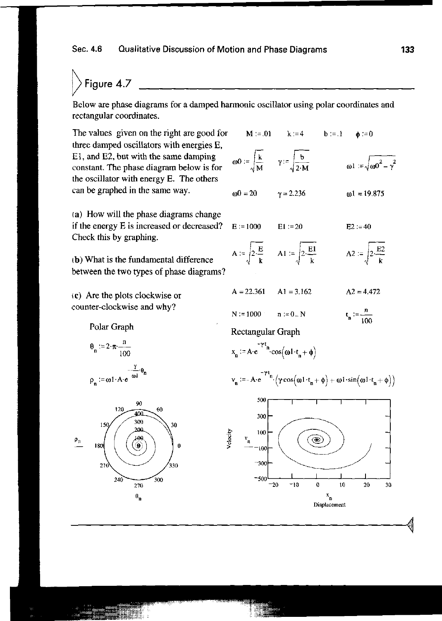# Sec. 4.6 Qualitative Discussion of Motion and Phase Diagrams 133

# Figure 4.7

Below are phase diagrams for a damped harmonic oscillator using polar coordinates and rectangular coordinates.

| The values given on the right are good for<br>three damped oscillators with energies E,                                        | $M := .01$                                                                                                                        | $k := 4$                                                                                                            | $b := .1$<br>$\phi := 0$                  |  |
|--------------------------------------------------------------------------------------------------------------------------------|-----------------------------------------------------------------------------------------------------------------------------------|---------------------------------------------------------------------------------------------------------------------|-------------------------------------------|--|
| E1, and E2, but with the same damping<br>constant. The phase diagram below is for<br>the oscillator with energy E. The others  | $\omega 0 := \sqrt{\frac{k}{M}} \qquad \gamma := \sqrt{\frac{b}{2 \cdot M}}$                                                      |                                                                                                                     | $\omega_1 := \sqrt{\omega^2 - \gamma^2}$  |  |
| can be graphed in the same way.                                                                                                | $\omega$ 0 = 20                                                                                                                   | $y = 2.236$                                                                                                         | $\omega$ 1 = 19.875                       |  |
| (a) How will the phase diagrams change<br>if the energy E is increased or decreased?<br>Check this by graphing.                | $E := 1000$                                                                                                                       | $E1 := 20$                                                                                                          | $E2 := 40$                                |  |
| (b) What is the fundamental difference<br>between the two types of phase diagrams?                                             |                                                                                                                                   | $A := \begin{bmatrix} 2 \cdot \frac{E}{k} & A1 := \begin{bmatrix} 2 \cdot \frac{E1}{k} \end{bmatrix} \end{bmatrix}$ | A2 := $\left 2 \cdot \frac{E2}{k}\right $ |  |
| (c) Are the plots clockwise or                                                                                                 | $A = 22.361$                                                                                                                      | $AI = 3.162$                                                                                                        | $A2 = 4.472$                              |  |
| counter-clockwise and why?                                                                                                     | $N := 1000$ $n := 0N$                                                                                                             |                                                                                                                     | $t_n := \frac{n}{100}$                    |  |
| Polar Graph<br>Rectangular Graph                                                                                               |                                                                                                                                   |                                                                                                                     |                                           |  |
| $\theta_n := 2 \cdot \pi \cdot \frac{n}{100}$                                                                                  | $x_n := A \cdot e^{-\gamma t} n \cdot \cos(\omega t \cdot t_n + \phi)$                                                            |                                                                                                                     |                                           |  |
| $\rho_n := \omega \mathbf{1} \cdot A \cdot e^{-\frac{\gamma}{\omega l} \cdot \theta_n}$                                        | $v_n := -A \cdot e^{-\gamma t_n} \cdot (\gamma \cos(\omega t \cdot t_n + \phi) + \omega t \cdot \sin(\omega t \cdot t_n + \phi))$ |                                                                                                                     |                                           |  |
| 90<br>120<br>60<br>400<br>300<br>150<br>30<br>200<br>100<br>$\rho_{\rm n}$<br>۰<br>$\bf{0}$<br>180<br>330<br>210<br>240<br>300 | 500<br>300<br>100<br>Velocity<br>$\mathbf{v}_{\mathbf{n}}$<br>100<br>$-300$<br>$-500$                                             | $^{\circ}$                                                                                                          |                                           |  |
| 270                                                                                                                            | $-20$                                                                                                                             | $-10$<br>$\mathbf 0$                                                                                                | 10<br>20<br>30                            |  |
| $\theta_n$                                                                                                                     | x<br>n<br>Displacement                                                                                                            |                                                                                                                     |                                           |  |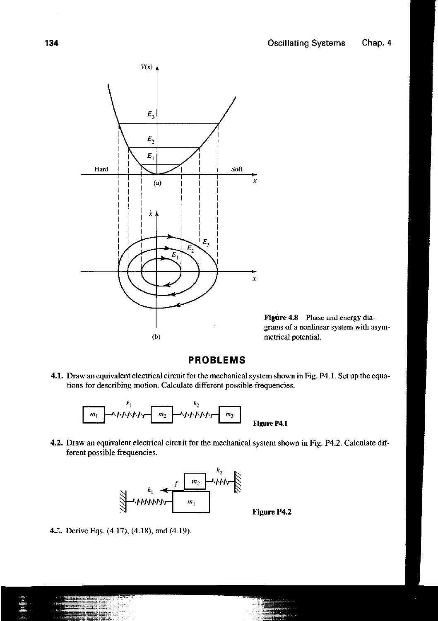

**Figure 4.8** Phase and energy diagrams of a nonlinear system with asymmetrical potential.

# **PROBLEMS**

**4.1.** Draw an equivalent electrical circuit for the mechanical system shown in Fig. P4.1. Set up the equations for describing motion. Calculate different possible frequencies.

$$
\begin{array}{|c|c|c|c|c|}\n\hline\nm_1 & \downarrow \\
\hline\nm_2 & \downarrow \\
\hline\nm_3 & \downarrow \\
\hline\n\end{array}
$$
\nFigure 1.1.2.1

**Figure P4.1**

4.2. Draw an equivalent electrical circuit for the mechanical system shown in Fig. P4.2. Calculate different possible frequencies.



**Figure P4.2**

**4.3.** Derive Eqs. (4.17), (4.18), and (4.19).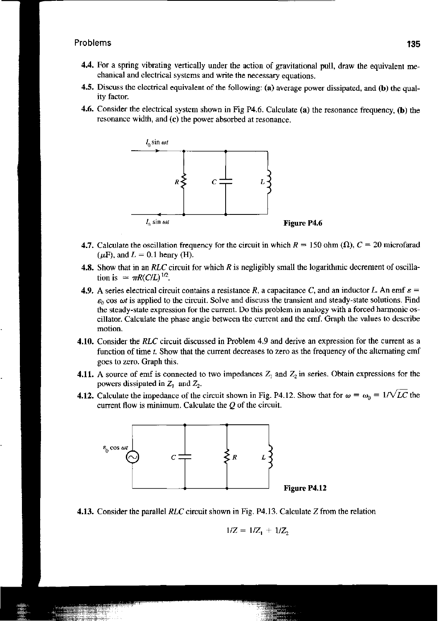# Problems **135**

- 4.4. For a spring vibrating vertically under the action of gravitational pull, draw the equivalent mechanical and electrical systems and write the necessary equations.
- 4.5. Discuss the electrical equivalent of the following: (a) average power dissipated, and (b) the quality factor.
- 4.6. Consider the electrical system shown in Fig P4.6. Calculate (a) the resonance frequency, (b) the resonance width, and (c) the power absorbed at resonance.



- **4.7.** Calculate the oscillation frequency for the circuit in which  $R = 150$  ohm ( $\Omega$ ),  $C = 20$  microfarad  $(\mu F)$ , and  $L = 0.1$  henry (H).
- 4.8. Show that in an *RLC* circuit for which *R* is negligibly small the logarithmic decrement of oscillation is  $\approx \pi R (C/L)^{1/2}$ .
- 4.9. A series electrical circuit contains a resistance *R,* a capacitance *C,* and an inductor *L* An emf *s =*  $\varepsilon_0$  cos  $\omega t$  is applied to the circuit. Solve and discuss the transient and steady-state solutions. Find the steady-state expression for the current. Do this problem in analogy with a forced harmonic oscillator. Calculate the phase angle between the current and the emf. Graph the values to describe motion.
- **4.10.** Consider the *RLC* circuit discussed in Problem 4.9 and derive an expression for the current as a function of time *t.* Show that the current decreases to zero as the frequency of the alternating emf goes to zero. Graph this.
- **4.11.** A source of emf is connected to two impedances  $Z_1$  and  $Z_2$  in series. Obtain expressions for the powers dissipated in  $Z_1$  and  $Z_2$ .
- **4.12.** Calculate the impedance of the circuit shown in Fig. P4.12. Show that for  $\omega = \omega_0 = 1/\sqrt{LC}$  the current flow is minimum. Calculate the *Q* of the circuit.



**4.13.** Consider the parallel *RLC* circuit shown in Fig. P4.13. Calculate Z from the relation

$$
1/Z = 1/Z_1 + 1/Z_2
$$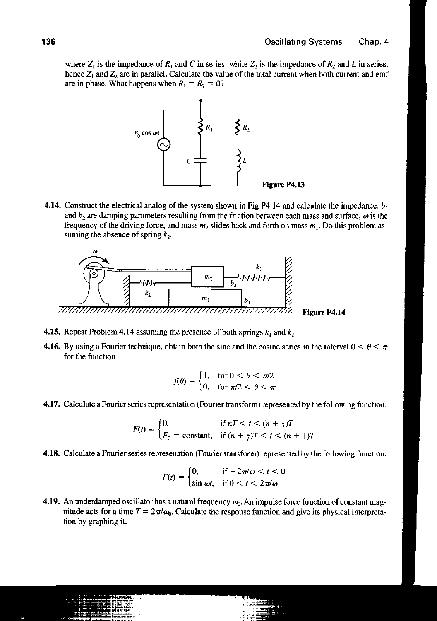where  $Z_1$  is the impedance of  $R_1$  and C in series, while  $Z_2$  is the impedance of  $R_2$  and L in series: hence  $Z_1$  and  $Z_2$  are in parallel. Calculate the value of the total current when both current and emf are in phase. What happens when  $R_1 = R_2 = 0$ ?



**4.14.** Construct the electrical analog of the system shown in Fig P4.14 and calculate the impedance. *b<sup>l</sup>* and  $b_2$  are damping parameters resulting from the friction between each mass and surface,  $\omega$  is the frequency of the driving force, and mass  $m_2$  slides back and forth on mass  $m_1$ . Do this problem assuming the absence of spring *k2.*



- **4.15.** Repeat Problem 4.14 assuming the presence of both springs  $k_1$  and  $k_2$ .
- **4.16.** By using a Fourier technique, obtain both the sine and the cosine series in the interval  $0 < \theta < \pi$ for the function

$$
f(\theta) = \begin{cases} 1, & \text{for } 0 < \theta < \pi/2 \\ 0, & \text{for } \pi/2 < \theta < \pi \end{cases}
$$

**4.17.** Calculate a Fourier series representation (Fourier transform) represented by the following function:

$$
F(t) = \begin{cases} 0, & \text{if } nT < t < (n + \frac{1}{2})T \\ F_0 = \text{constant}, & \text{if } (n + \frac{1}{2})T < t < (n + 1)T \end{cases}
$$

**4.18.** Calculate a Fourier series represenation (Fourier transform) represented by the following function:

$$
F(t) = \begin{cases} 0, & \text{if } -2\pi/\omega < t < 0 \\ \sin \omega t, & \text{if } 0 < t < 2\pi/\omega \end{cases}
$$

**4.19.** An underdamped oscillator has a natural frequency  $\omega_0$ . An impulse force function of constant magnitude acts for a time  $T = 2\pi/\omega_0$ . Calculate the response function and give its physical interpretation by graphing it.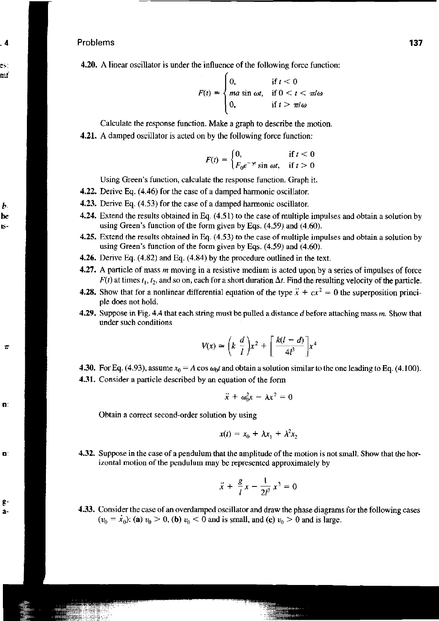#### Problems **137**

ės. mf

b be Ķ.

 $\overline{r}$ 

 $\mathbf{0}$ 

 $\blacksquare$ 

β ā. **4.20.** A linear oscillator is under the influence of the following force function:

$$
F(t) = \begin{cases} 0, & \text{if } t < 0 \\ \text{max } \sin \omega t, & \text{if } 0 < t < \pi/\omega \\ 0, & \text{if } t > \pi/\omega \end{cases}
$$

Calculate the response function. Make a graph to describe the motion.

**4.21.** A damped oscillator is acted on by the following force function:

$$
F(t) = \begin{cases} 0, & \text{if } t < 0 \\ F_0 e^{-\gamma t} \sin \omega t, & \text{if } t > 0 \end{cases}
$$

Using Green's function, calculate the response function. Graph it.

- 4.22. Derive Eq. (4.46) for the case of a damped harmonic oscillator.
- **4.23.** Derive Eq. (4.53) for the case of a damped harmonic oscillator.
- **4.24.** Extend the results obtained in Eq. (4.51) to the case of multiple impulses and obtain a solution by using Green's function of the form given by Eqs. (4.59) and (4.60).
- **4.25.** Extend the results obtained in Eq. (4.53) to the case of multiple impulses and obtain a solution by using Green's function of the form given by Eqs. (4.59) and (4.60).
- **4.26.** Derive Eq. (4.82) and Eq. (4.84) by the procedure outlined in the text.
- **4.27.** A particle of mass *m* moving in a resistive medium is acted upon by a series of impulses of force  $F(t)$  at times  $t_1, t_2$ , and so on, each for a short duration  $\Delta t$ . Find the resulting velocity of the particle.
- **4.28.** Show that for a nonlinear differential equation of the type  $\ddot{x} + cx^2 = 0$  the superposition principle does not hold.
- **4.29.** Suppose in Fig. 4.4 that each string must be pulled a distance *d* before attaching mass *m.* Show that under such conditions

$$
V(x) \simeq \left(k \frac{d}{l}\right) x^2 + \left[\frac{k(l-d)}{4l^3}\right] x^4
$$

- **4.30.** For Eq. (4.93), assume  $x_0 = A \cos \omega_0 t$  and obtain a solution similar to the one leading to Eq. (4.100).
- **4.31.** Consider a particle described by an equation of the form

$$
\ddot{x} + \omega_0^2 x - \lambda x^2 = 0
$$

Obtain a correct second-order solution by using

$$
x(t) = x_0 + \lambda x_1 + \lambda^2 x_2
$$

**4.32.** Suppose in the case of a pendulum that the amplitude of the motion is not small. Show that the horizontal motion of the pendulum may be represented approximately by

$$
\ddot{x} + \frac{g}{l}x - \frac{1}{2l^3}x^3 = 0
$$

**4.33.** Consider the case of an overdamped oscillator and draw the phase diagrams for the following cases  $(v_0 = x_0)$ : (a)  $v_0 > 0$ , (b)  $v_0 < 0$  and is small, and (c)  $v_0 > 0$  and is large.